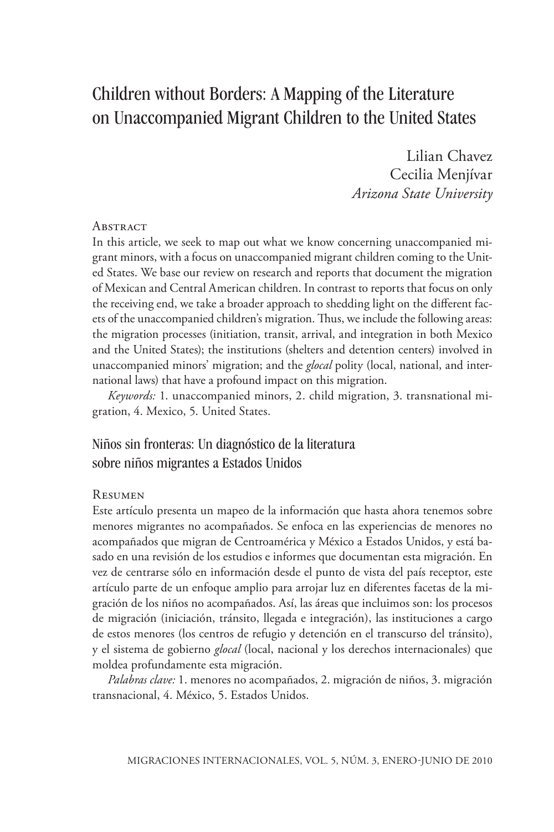# Children without Borders: A Mapping of the Literature on Unaccompanied Migrant Children to the United States

Lilian Chavez Cecilia Menjívar *Arizona State University*

#### **Abstract**

In this article, we seek to map out what we know concerning unaccompanied migrant minors, with a focus on unaccompanied migrant children coming to the United States. We base our review on research and reports that document the migration of Mexican and Central American children. In contrast to reports that focus on only the receiving end, we take a broader approach to shedding light on the different facets of the unaccompanied children's migration. Thus, we include the following areas: the migration processes (initiation, transit, arrival, and integration in both Mexico and the United States); the institutions (shelters and detention centers) involved in unaccompanied minors' migration; and the *glocal* polity (local, national, and international laws) that have a profound impact on this migration.

*Keywords:* 1. unaccompanied minors, 2. child migration, 3. transnational migration, 4. Mexico, 5. United States.

### Niños sin fronteras: Un diagnóstico de la literatura sobre niños migrantes a Estados Unidos

#### **RESUMEN**

Este artículo presenta un mapeo de la información que hasta ahora tenemos sobre menores migrantes no acompañados. Se enfoca en las experiencias de menores no acompañados que migran de Centroamérica y México a Estados Unidos, y está basado en una revisión de los estudios e informes que documentan esta migración. En vez de centrarse sólo en información desde el punto de vista del país receptor, este artículo parte de un enfoque amplio para arrojar luz en diferentes facetas de la migración de los niños no acompañados. Así, las áreas que incluimos son: los procesos de migración (iniciación, tránsito, llegada e integración), las instituciones a cargo de estos menores (los centros de refugio y detención en el transcurso del tránsito), y el sistema de gobierno *glocal* (local, nacional y los derechos internacionales) que moldea profundamente esta migración.

*Palabras clave:* 1. menores no acompañados, 2. migración de niños, 3. migración transnacional, 4. México, 5. Estados Unidos.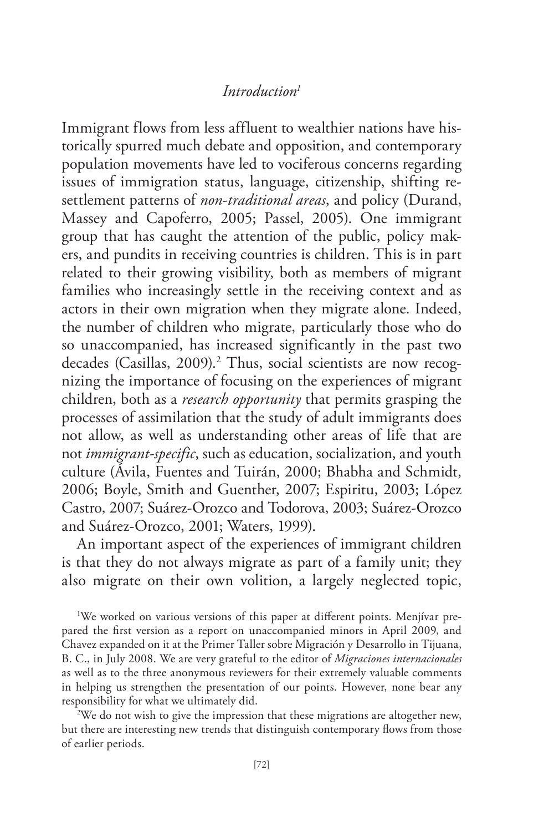#### *Introduction1*

Immigrant flows from less affluent to wealthier nations have historically spurred much debate and opposition, and contemporary population movements have led to vociferous concerns regarding issues of immigration status, language, citizenship, shifting resettlement patterns of *non-traditional areas*, and policy (Durand, Massey and Capoferro, 2005; Passel, 2005). One immigrant group that has caught the attention of the public, policy makers, and pundits in receiving countries is children. This is in part related to their growing visibility, both as members of migrant families who increasingly settle in the receiving context and as actors in their own migration when they migrate alone. Indeed, the number of children who migrate, particularly those who do so unaccompanied, has increased significantly in the past two decades (Casillas, 2009).2 Thus, social scientists are now recognizing the importance of focusing on the experiences of migrant children, both as a *research opportunity* that permits grasping the processes of assimilation that the study of adult immigrants does not allow, as well as understanding other areas of life that are not *immigrant-specific*, such as education, socialization, and youth culture (Ávila, Fuentes and Tuirán, 2000; Bhabha and Schmidt, 2006; Boyle, Smith and Guenther, 2007; Espiritu, 2003; López Castro, 2007; Suárez-Orozco and Todorova, 2003; Suárez-Orozco and Suárez-Orozco, 2001; Waters, 1999).

An important aspect of the experiences of immigrant children is that they do not always migrate as part of a family unit; they also migrate on their own volition, a largely neglected topic,

1 We worked on various versions of this paper at different points. Menjívar prepared the first version as a report on unaccompanied minors in April 2009, and Chavez expanded on it at the Primer Taller sobre Migración y Desarrollo in Tijuana, B. C., in July 2008. We are very grateful to the editor of *Migraciones internacionales* as well as to the three anonymous reviewers for their extremely valuable comments in helping us strengthen the presentation of our points. However, none bear any responsibility for what we ultimately did.

<sup>2</sup>We do not wish to give the impression that these migrations are altogether new, but there are interesting new trends that distinguish contemporary flows from those of earlier periods.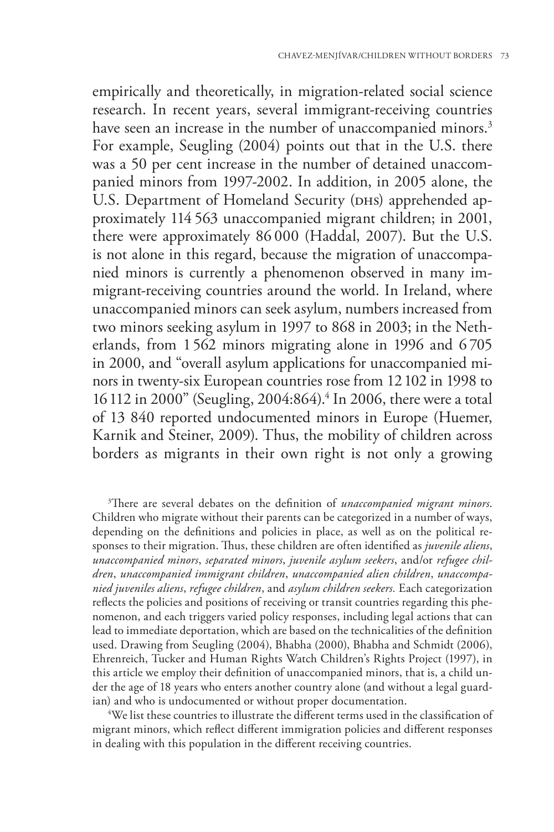empirically and theoretically, in migration-related social science research. In recent years, several immigrant-receiving countries have seen an increase in the number of unaccompanied minors.<sup>3</sup> For example, Seugling (2004) points out that in the U.S. there was a 50 per cent increase in the number of detained unaccompanied minors from 1997-2002. In addition, in 2005 alone, the U.S. Department of Homeland Security (DHS) apprehended approximately 114 563 unaccompanied migrant children; in 2001, there were approximately 86 000 (Haddal, 2007). But the U.S. is not alone in this regard, because the migration of unaccompanied minors is currently a phenomenon observed in many immigrant-receiving countries around the world. In Ireland, where unaccompanied minors can seek asylum, numbers increased from two minors seeking asylum in 1997 to 868 in 2003; in the Netherlands, from 1562 minors migrating alone in 1996 and 6 705 in 2000, and "overall asylum applications for unaccompanied minors in twenty-six European countries rose from 12102 in 1998 to 16112 in 2000" (Seugling, 2004:864).4 In 2006, there were a total of 13 840 reported undocumented minors in Europe (Huemer, Karnik and Steiner, 2009). Thus, the mobility of children across borders as migrants in their own right is not only a growing

3 There are several debates on the definition of *unaccompanied migrant minors*. Children who migrate without their parents can be categorized in a number of ways, depending on the definitions and policies in place, as well as on the political responses to their migration. Thus, these children are often identified as *juvenile aliens*, *unaccompanied minors*, *separated minors*, *juvenile asylum seekers*, and/or *refugee children*, *unaccompanied immigrant children*, *unaccompanied alien children*, *unaccompanied juveniles aliens*, *refugee children*, and *asylum children seekers.* Each categorization reflects the policies and positions of receiving or transit countries regarding this phenomenon, and each triggers varied policy responses, including legal actions that can lead to immediate deportation, which are based on the technicalities of the definition used. Drawing from Seugling (2004), Bhabha (2000), Bhabha and Schmidt (2006), Ehrenreich, Tucker and Human Rights Watch Children's Rights Project (1997), in this article we employ their definition of unaccompanied minors, that is, a child under the age of 18 years who enters another country alone (and without a legal guardian) and who is undocumented or without proper documentation. 4

We list these countries to illustrate the different terms used in the classification of migrant minors, which reflect different immigration policies and different responses in dealing with this population in the different receiving countries.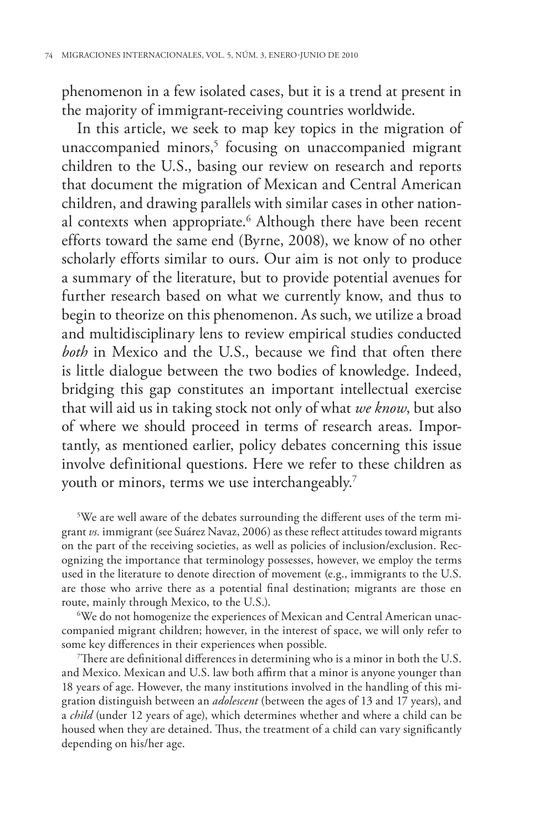phenomenon in a few isolated cases, but it is a trend at present in the majority of immigrant-receiving countries worldwide.

In this article, we seek to map key topics in the migration of unaccompanied minors,<sup>5</sup> focusing on unaccompanied migrant children to the U.S., basing our review on research and reports that document the migration of Mexican and Central American children, and drawing parallels with similar cases in other national contexts when appropriate.<sup>6</sup> Although there have been recent efforts toward the same end (Byrne, 2008), we know of no other scholarly efforts similar to ours. Our aim is not only to produce a summary of the literature, but to provide potential avenues for further research based on what we currently know, and thus to begin to theorize on this phenomenon. As such, we utilize a broad and multidisciplinary lens to review empirical studies conducted *both* in Mexico and the U.S., because we find that often there is little dialogue between the two bodies of knowledge. Indeed, bridging this gap constitutes an important intellectual exercise that will aid us in taking stock not only of what *we know*, but also of where we should proceed in terms of research areas. Importantly, as mentioned earlier, policy debates concerning this issue involve definitional questions. Here we refer to these children as youth or minors, terms we use interchangeably.<sup>7</sup>

 $5$ We are well aware of the debates surrounding the different uses of the term migrant *vs.* immigrant (see Suárez Navaz, 2006) as these reflect attitudes toward migrants on the part of the receiving societies, as well as policies of inclusion/exclusion. Recognizing the importance that terminology possesses, however, we employ the terms used in the literature to denote direction of movement (e.g., immigrants to the U.S. are those who arrive there as a potential final destination; migrants are those en route, mainly through Mexico, to the U.S.).

We do not homogenize the experiences of Mexican and Central American unaccompanied migrant children; however, in the interest of space, we will only refer to some key differences in their experiences when possible.

7 There are definitional differences in determining who is a minor in both the U.S. and Mexico. Mexican and U.S. law both affirm that a minor is anyone younger than 18 years of age. However, the many institutions involved in the handling of this migration distinguish between an *adolescent* (between the ages of 13 and 17 years), and a *child* (under 12 years of age), which determines whether and where a child can be housed when they are detained. Thus, the treatment of a child can vary significantly depending on his/her age.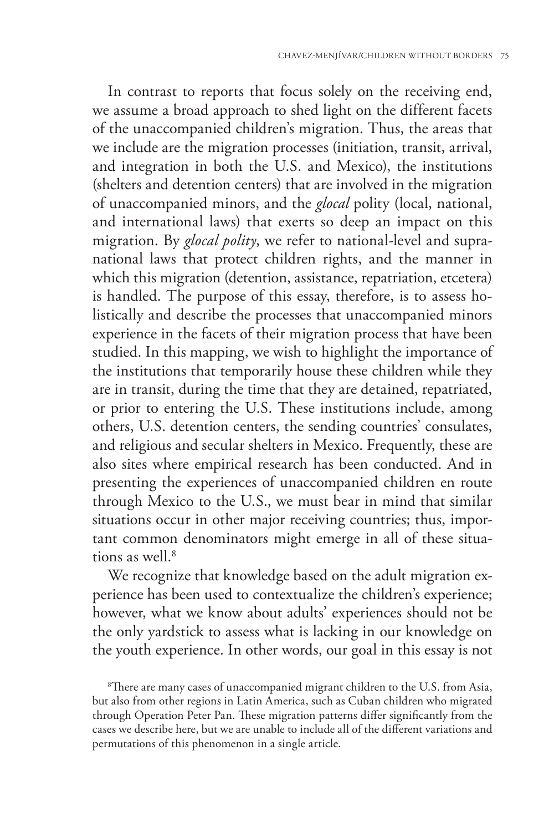In contrast to reports that focus solely on the receiving end, we assume a broad approach to shed light on the different facets of the unaccompanied children's migration. Thus, the areas that we include are the migration processes (initiation, transit, arrival, and integration in both the U.S. and Mexico), the institutions (shelters and detention centers) that are involved in the migration of unaccompanied minors, and the *glocal* polity (local, national, and international laws) that exerts so deep an impact on this migration. By *glocal polity*, we refer to national-level and supranational laws that protect children rights, and the manner in which this migration (detention, assistance, repatriation, etcetera) is handled. The purpose of this essay, therefore, is to assess holistically and describe the processes that unaccompanied minors experience in the facets of their migration process that have been studied. In this mapping, we wish to highlight the importance of the institutions that temporarily house these children while they are in transit, during the time that they are detained, repatriated, or prior to entering the U.S. These institutions include, among others, U.S. detention centers, the sending countries' consulates, and religious and secular shelters in Mexico. Frequently, these are also sites where empirical research has been conducted. And in presenting the experiences of unaccompanied children en route through Mexico to the U.S., we must bear in mind that similar situations occur in other major receiving countries; thus, important common denominators might emerge in all of these situations as well.8

We recognize that knowledge based on the adult migration experience has been used to contextualize the children's experience; however, what we know about adults' experiences should not be the only yardstick to assess what is lacking in our knowledge on the youth experience. In other words, our goal in this essay is not

8 There are many cases of unaccompanied migrant children to the U.S. from Asia, but also from other regions in Latin America, such as Cuban children who migrated through Operation Peter Pan. These migration patterns differ significantly from the cases we describe here, but we are unable to include all of the different variations and permutations of this phenomenon in a single article.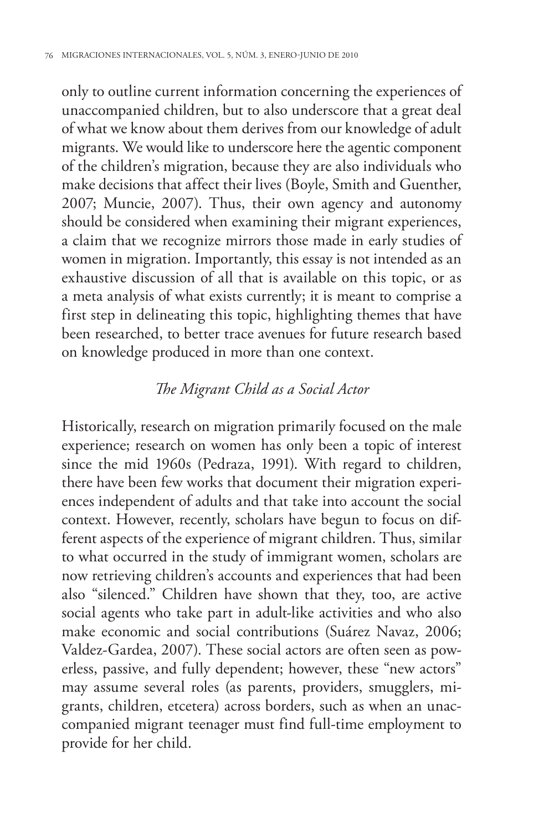only to outline current information concerning the experiences of unaccompanied children, but to also underscore that a great deal of what we know about them derives from our knowledge of adult migrants. We would like to underscore here the agentic component of the children's migration, because they are also individuals who make decisions that affect their lives (Boyle, Smith and Guenther, 2007; Muncie, 2007). Thus, their own agency and autonomy should be considered when examining their migrant experiences, a claim that we recognize mirrors those made in early studies of women in migration. Importantly, this essay is not intended as an exhaustive discussion of all that is available on this topic, or as a meta analysis of what exists currently; it is meant to comprise a first step in delineating this topic, highlighting themes that have been researched, to better trace avenues for future research based on knowledge produced in more than one context.

### *The Migrant Child as a Social Actor*

Historically, research on migration primarily focused on the male experience; research on women has only been a topic of interest since the mid 1960s (Pedraza, 1991). With regard to children, there have been few works that document their migration experiences independent of adults and that take into account the social context. However, recently, scholars have begun to focus on different aspects of the experience of migrant children. Thus, similar to what occurred in the study of immigrant women, scholars are now retrieving children's accounts and experiences that had been also "silenced." Children have shown that they, too, are active social agents who take part in adult-like activities and who also make economic and social contributions (Suárez Navaz, 2006; Valdez-Gardea, 2007). These social actors are often seen as powerless, passive, and fully dependent; however, these "new actors" may assume several roles (as parents, providers, smugglers, migrants, children, etcetera) across borders, such as when an unaccompanied migrant teenager must find full-time employment to provide for her child.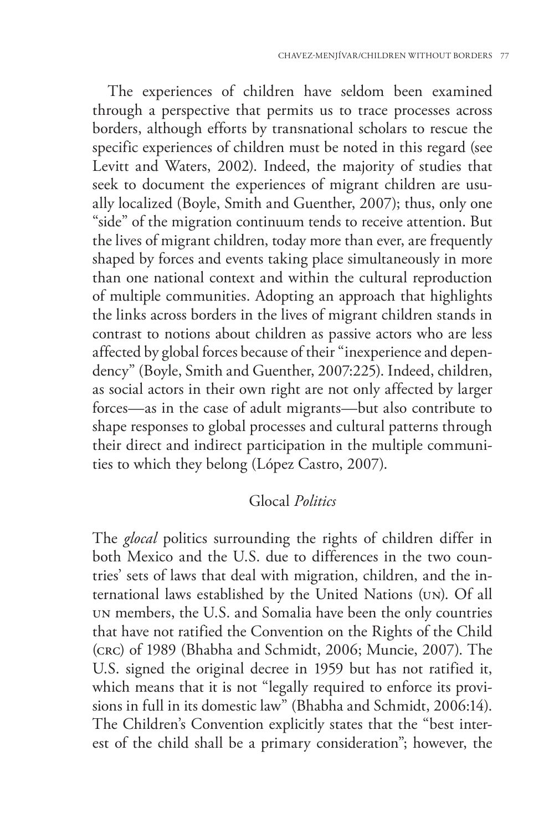The experiences of children have seldom been examined through a perspective that permits us to trace processes across borders, although efforts by transnational scholars to rescue the specific experiences of children must be noted in this regard (see Levitt and Waters, 2002). Indeed, the majority of studies that seek to document the experiences of migrant children are usually localized (Boyle, Smith and Guenther, 2007); thus, only one "side" of the migration continuum tends to receive attention. But the lives of migrant children, today more than ever, are frequently shaped by forces and events taking place simultaneously in more than one national context and within the cultural reproduction of multiple communities. Adopting an approach that highlights the links across borders in the lives of migrant children stands in contrast to notions about children as passive actors who are less affected by global forces because of their "inexperience and dependency" (Boyle, Smith and Guenther, 2007:225). Indeed, children, as social actors in their own right are not only affected by larger forces—as in the case of adult migrants—but also contribute to shape responses to global processes and cultural patterns through their direct and indirect participation in the multiple communities to which they belong (López Castro, 2007).

#### Glocal *Politics*

The *glocal* politics surrounding the rights of children differ in both Mexico and the U.S. due to differences in the two countries' sets of laws that deal with migration, children, and the international laws established by the United Nations (un). Of all un members, the U.S. and Somalia have been the only countries that have not ratified the Convention on the Rights of the Child (crc) of 1989 (Bhabha and Schmidt, 2006; Muncie, 2007). The U.S. signed the original decree in 1959 but has not ratified it, which means that it is not "legally required to enforce its provisions in full in its domestic law" (Bhabha and Schmidt, 2006:14). The Children's Convention explicitly states that the "best interest of the child shall be a primary consideration"; however, the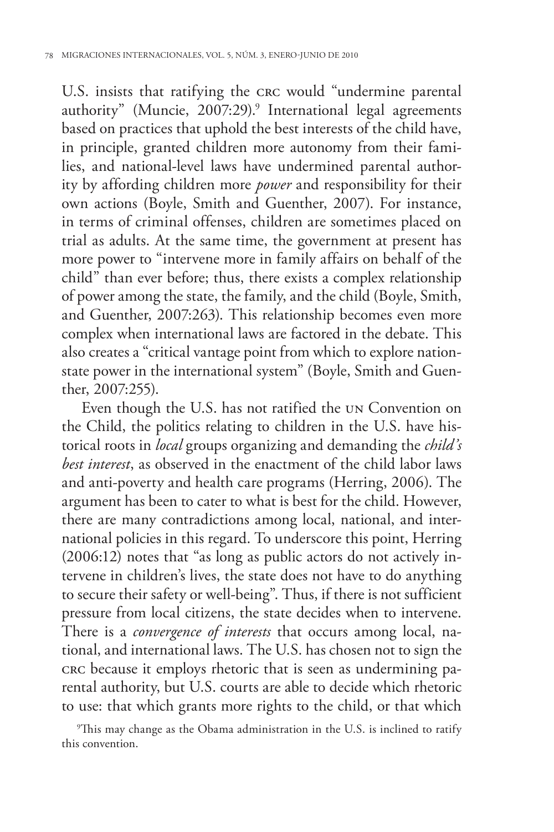U.S. insists that ratifying the crc would "undermine parental authority" (Muncie, 2007:29).<sup>9</sup> International legal agreements based on practices that uphold the best interests of the child have, in principle, granted children more autonomy from their families, and national-level laws have undermined parental authority by affording children more *power* and responsibility for their own actions (Boyle, Smith and Guenther, 2007). For instance, in terms of criminal offenses, children are sometimes placed on trial as adults. At the same time, the government at present has more power to "intervene more in family affairs on behalf of the child" than ever before; thus, there exists a complex relationship of power among the state, the family, and the child (Boyle, Smith, and Guenther, 2007:263). This relationship becomes even more complex when international laws are factored in the debate. This also creates a "critical vantage point from which to explore nationstate power in the international system" (Boyle, Smith and Guenther, 2007:255).

Even though the U.S. has not ratified the un Convention on the Child, the politics relating to children in the U.S. have historical roots in *local* groups organizing and demanding the *child's best interest*, as observed in the enactment of the child labor laws and anti-poverty and health care programs (Herring, 2006). The argument has been to cater to what is best for the child. However, there are many contradictions among local, national, and international policies in this regard. To underscore this point, Herring (2006:12) notes that "as long as public actors do not actively intervene in children's lives, the state does not have to do anything to secure their safety or well-being". Thus, if there is not sufficient pressure from local citizens, the state decides when to intervene. There is a *convergence of interests* that occurs among local, national, and international laws. The U.S. has chosen not to sign the crc because it employs rhetoric that is seen as undermining parental authority, but U.S. courts are able to decide which rhetoric to use: that which grants more rights to the child, or that which

9 This may change as the Obama administration in the U.S. is inclined to ratify this convention.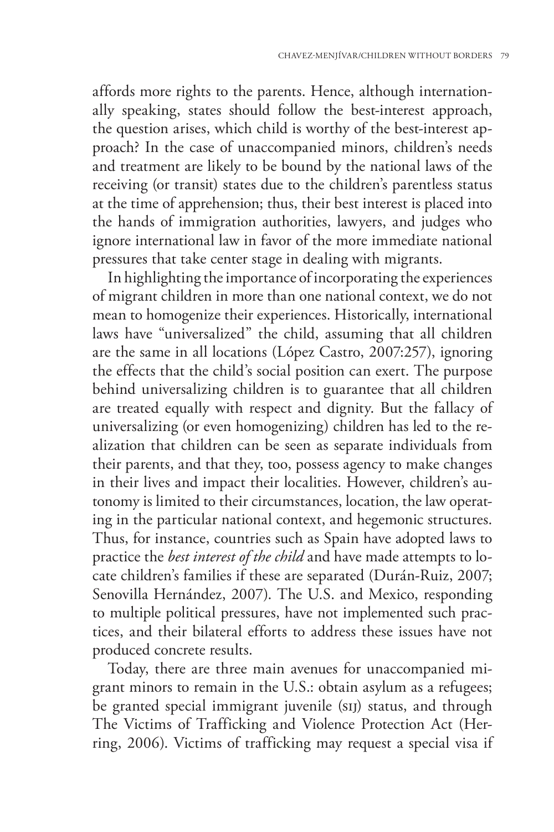affords more rights to the parents. Hence, although internationally speaking, states should follow the best-interest approach, the question arises, which child is worthy of the best-interest approach? In the case of unaccompanied minors, children's needs and treatment are likely to be bound by the national laws of the receiving (or transit) states due to the children's parentless status at the time of apprehension; thus, their best interest is placed into the hands of immigration authorities, lawyers, and judges who ignore international law in favor of the more immediate national pressures that take center stage in dealing with migrants.

In highlighting the importance of incorporating the experiences of migrant children in more than one national context, we do not mean to homogenize their experiences. Historically, international laws have "universalized" the child, assuming that all children are the same in all locations (López Castro, 2007:257), ignoring the effects that the child's social position can exert. The purpose behind universalizing children is to guarantee that all children are treated equally with respect and dignity. But the fallacy of universalizing (or even homogenizing) children has led to the realization that children can be seen as separate individuals from their parents, and that they, too, possess agency to make changes in their lives and impact their localities. However, children's autonomy is limited to their circumstances, location, the law operating in the particular national context, and hegemonic structures. Thus, for instance, countries such as Spain have adopted laws to practice the *best interest of the child* and have made attempts to locate children's families if these are separated (Durán-Ruiz, 2007; Senovilla Hernández, 2007). The U.S. and Mexico, responding to multiple political pressures, have not implemented such practices, and their bilateral efforts to address these issues have not produced concrete results.

Today, there are three main avenues for unaccompanied migrant minors to remain in the U.S.: obtain asylum as a refugees; be granted special immigrant juvenile (sij) status, and through The Victims of Trafficking and Violence Protection Act (Herring, 2006). Victims of trafficking may request a special visa if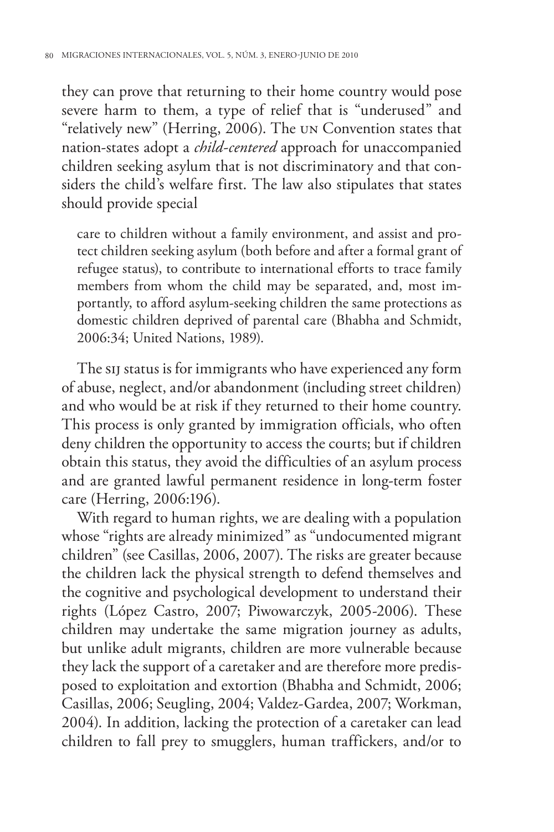they can prove that returning to their home country would pose severe harm to them, a type of relief that is "underused" and "relatively new" (Herring, 2006). The un Convention states that nation-states adopt a *child-centered* approach for unaccompanied children seeking asylum that is not discriminatory and that considers the child's welfare first. The law also stipulates that states should provide special

care to children without a family environment, and assist and protect children seeking asylum (both before and after a formal grant of refugee status), to contribute to international efforts to trace family members from whom the child may be separated, and, most importantly, to afford asylum-seeking children the same protections as domestic children deprived of parental care (Bhabha and Schmidt, 2006:34; United Nations, 1989).

The sij status is for immigrants who have experienced any form of abuse, neglect, and/or abandonment (including street children) and who would be at risk if they returned to their home country. This process is only granted by immigration officials, who often deny children the opportunity to access the courts; but if children obtain this status, they avoid the difficulties of an asylum process and are granted lawful permanent residence in long-term foster care (Herring, 2006:196).

With regard to human rights, we are dealing with a population whose "rights are already minimized" as "undocumented migrant children" (see Casillas, 2006, 2007). The risks are greater because the children lack the physical strength to defend themselves and the cognitive and psychological development to understand their rights (López Castro, 2007; Piwowarczyk, 2005-2006). These children may undertake the same migration journey as adults, but unlike adult migrants, children are more vulnerable because they lack the support of a caretaker and are therefore more predisposed to exploitation and extortion (Bhabha and Schmidt, 2006; Casillas, 2006; Seugling, 2004; Valdez-Gardea, 2007; Workman, 2004). In addition, lacking the protection of a caretaker can lead children to fall prey to smugglers, human traffickers, and/or to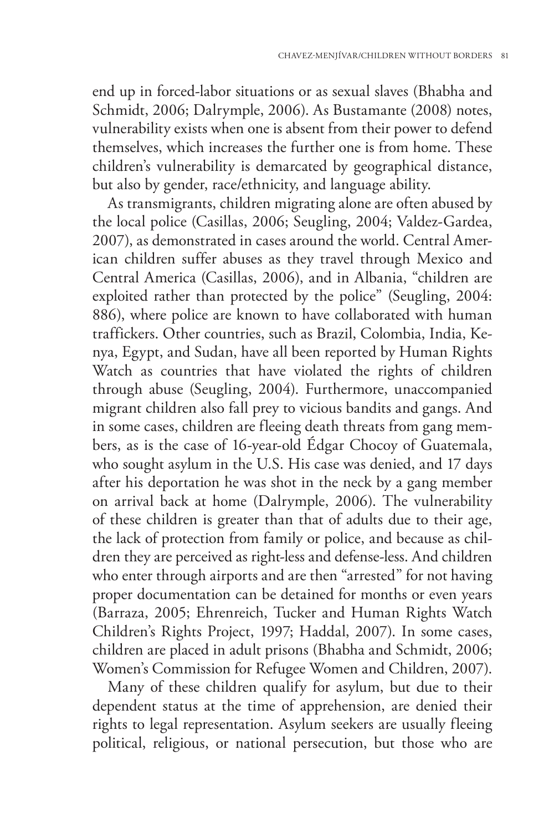end up in forced-labor situations or as sexual slaves (Bhabha and Schmidt, 2006; Dalrymple, 2006). As Bustamante (2008) notes, vulnerability exists when one is absent from their power to defend themselves, which increases the further one is from home. These children's vulnerability is demarcated by geographical distance, but also by gender, race/ethnicity, and language ability.

As transmigrants, children migrating alone are often abused by the local police (Casillas, 2006; Seugling, 2004; Valdez-Gardea, 2007), as demonstrated in cases around the world. Central American children suffer abuses as they travel through Mexico and Central America (Casillas, 2006), and in Albania, "children are exploited rather than protected by the police" (Seugling, 2004: 886), where police are known to have collaborated with human traffickers. Other countries, such as Brazil, Colombia, India, Kenya, Egypt, and Sudan, have all been reported by Human Rights Watch as countries that have violated the rights of children through abuse (Seugling, 2004). Furthermore, unaccompanied migrant children also fall prey to vicious bandits and gangs. And in some cases, children are fleeing death threats from gang members, as is the case of 16-year-old Édgar Chocoy of Guatemala, who sought asylum in the U.S. His case was denied, and 17 days after his deportation he was shot in the neck by a gang member on arrival back at home (Dalrymple, 2006). The vulnerability of these children is greater than that of adults due to their age, the lack of protection from family or police, and because as children they are perceived as right-less and defense-less. And children who enter through airports and are then "arrested" for not having proper documentation can be detained for months or even years (Barraza, 2005; Ehrenreich, Tucker and Human Rights Watch Children's Rights Project, 1997; Haddal, 2007). In some cases, children are placed in adult prisons (Bhabha and Schmidt, 2006; Women's Commission for Refugee Women and Children, 2007).

Many of these children qualify for asylum, but due to their dependent status at the time of apprehension, are denied their rights to legal representation. Asylum seekers are usually fleeing political, religious, or national persecution, but those who are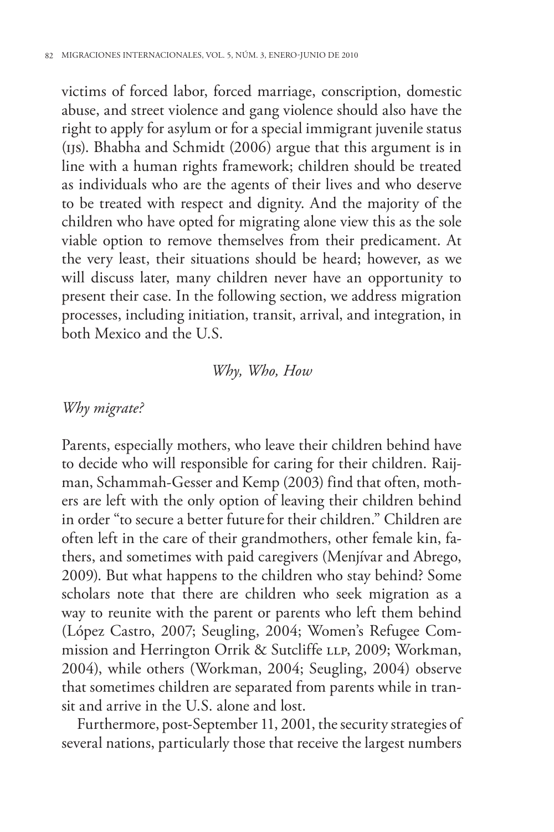victims of forced labor, forced marriage, conscription, domestic abuse, and street violence and gang violence should also have the right to apply for asylum or for a special immigrant juvenile status (ijs). Bhabha and Schmidt (2006) argue that this argument is in line with a human rights framework; children should be treated as individuals who are the agents of their lives and who deserve to be treated with respect and dignity. And the majority of the children who have opted for migrating alone view this as the sole viable option to remove themselves from their predicament. At the very least, their situations should be heard; however, as we will discuss later, many children never have an opportunity to present their case. In the following section, we address migration processes, including initiation, transit, arrival, and integration, in both Mexico and the U.S.

#### *Why, Who, How*

# *Why migrate?*

Parents, especially mothers, who leave their children behind have to decide who will responsible for caring for their children. Raijman, Schammah-Gesser and Kemp (2003) find that often, mothers are left with the only option of leaving their children behind in order "to secure a better futurefor their children." Children are often left in the care of their grandmothers, other female kin, fathers, and sometimes with paid caregivers (Menjívar and Abrego, 2009). But what happens to the children who stay behind? Some scholars note that there are children who seek migration as a way to reunite with the parent or parents who left them behind (López Castro, 2007; Seugling, 2004; Women's Refugee Commission and Herrington Orrik & Sutcliffe LLP, 2009; Workman, 2004), while others (Workman, 2004; Seugling, 2004) observe that sometimes children are separated from parents while in transit and arrive in the U.S. alone and lost.

Furthermore, post-September 11, 2001, the security strategies of several nations, particularly those that receive the largest numbers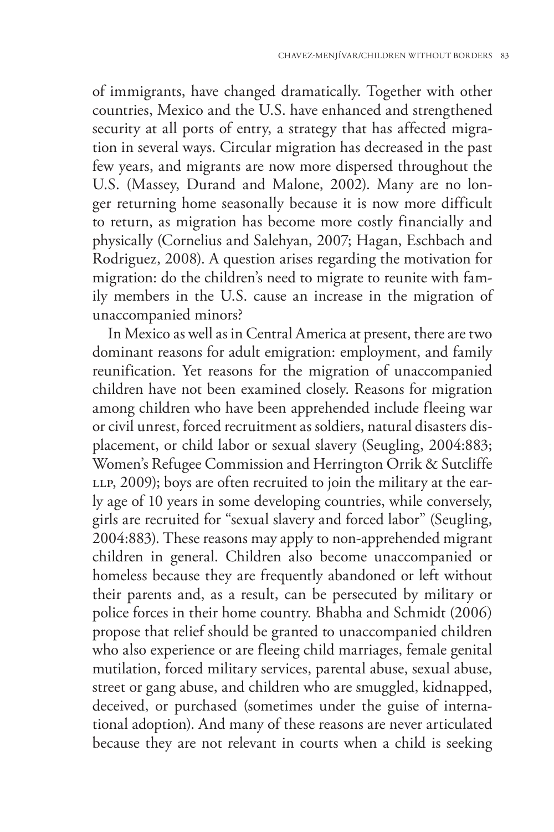of immigrants, have changed dramatically. Together with other countries, Mexico and the U.S. have enhanced and strengthened security at all ports of entry, a strategy that has affected migration in several ways. Circular migration has decreased in the past few years, and migrants are now more dispersed throughout the U.S. (Massey, Durand and Malone, 2002). Many are no longer returning home seasonally because it is now more difficult to return, as migration has become more costly financially and physically (Cornelius and Salehyan, 2007; Hagan, Eschbach and Rodriguez, 2008). A question arises regarding the motivation for migration: do the children's need to migrate to reunite with family members in the U.S. cause an increase in the migration of unaccompanied minors?

In Mexico as well as in Central America at present, there are two dominant reasons for adult emigration: employment, and family reunification. Yet reasons for the migration of unaccompanied children have not been examined closely. Reasons for migration among children who have been apprehended include fleeing war or civil unrest, forced recruitment as soldiers, natural disasters displacement, or child labor or sexual slavery (Seugling, 2004:883; Women's Refugee Commission and Herrington Orrik & Sutcliffe LLP, 2009); boys are often recruited to join the military at the early age of 10 years in some developing countries, while conversely, girls are recruited for "sexual slavery and forced labor" (Seugling, 2004:883). These reasons may apply to non-apprehended migrant children in general. Children also become unaccompanied or homeless because they are frequently abandoned or left without their parents and, as a result, can be persecuted by military or police forces in their home country. Bhabha and Schmidt (2006) propose that relief should be granted to unaccompanied children who also experience or are fleeing child marriages, female genital mutilation, forced military services, parental abuse, sexual abuse, street or gang abuse, and children who are smuggled, kidnapped, deceived, or purchased (sometimes under the guise of international adoption). And many of these reasons are never articulated because they are not relevant in courts when a child is seeking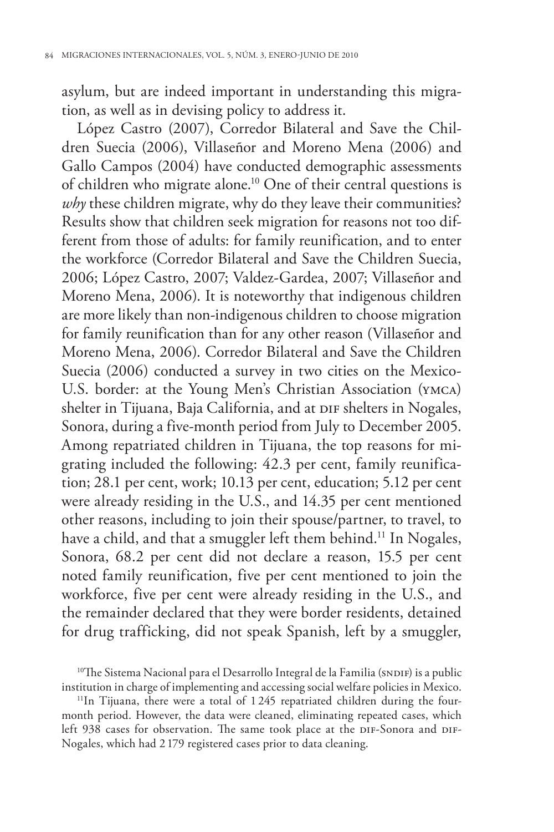asylum, but are indeed important in understanding this migration, as well as in devising policy to address it.

López Castro (2007), Corredor Bilateral and Save the Children Suecia (2006), Villaseñor and Moreno Mena (2006) and Gallo Campos (2004) have conducted demographic assessments of children who migrate alone.<sup>10</sup> One of their central questions is *why* these children migrate, why do they leave their communities? Results show that children seek migration for reasons not too different from those of adults: for family reunification, and to enter the workforce (Corredor Bilateral and Save the Children Suecia, 2006; López Castro, 2007; Valdez-Gardea, 2007; Villaseñor and Moreno Mena, 2006). It is noteworthy that indigenous children are more likely than non-indigenous children to choose migration for family reunification than for any other reason (Villaseñor and Moreno Mena, 2006). Corredor Bilateral and Save the Children Suecia (2006) conducted a survey in two cities on the Mexico-U.S. border: at the Young Men's Christian Association (ymca) shelter in Tijuana, Baja California, and at DIF shelters in Nogales, Sonora, during a five-month period from July to December 2005. Among repatriated children in Tijuana, the top reasons for migrating included the following: 42.3 per cent, family reunification; 28.1 per cent, work; 10.13 per cent, education; 5.12 per cent were already residing in the U.S., and 14.35 per cent mentioned other reasons, including to join their spouse/partner, to travel, to have a child, and that a smuggler left them behind.<sup>11</sup> In Nogales, Sonora, 68.2 per cent did not declare a reason, 15.5 per cent noted family reunification, five per cent mentioned to join the workforce, five per cent were already residing in the U.S., and the remainder declared that they were border residents, detained for drug trafficking, did not speak Spanish, left by a smuggler,

<sup>&</sup>lt;sup>10</sup>The Sistema Nacional para el Desarrollo Integral de la Familia (sNDIF) is a public institution in charge of implementing and accessing social welfare policies in Mexico.

<sup>&</sup>lt;sup>11</sup>In Tijuana, there were a total of 1 245 repatriated children during the fourmonth period. However, the data were cleaned, eliminating repeated cases, which left 938 cases for observation. The same took place at the DIF-Sonora and DIF-Nogales, which had 2 179 registered cases prior to data cleaning.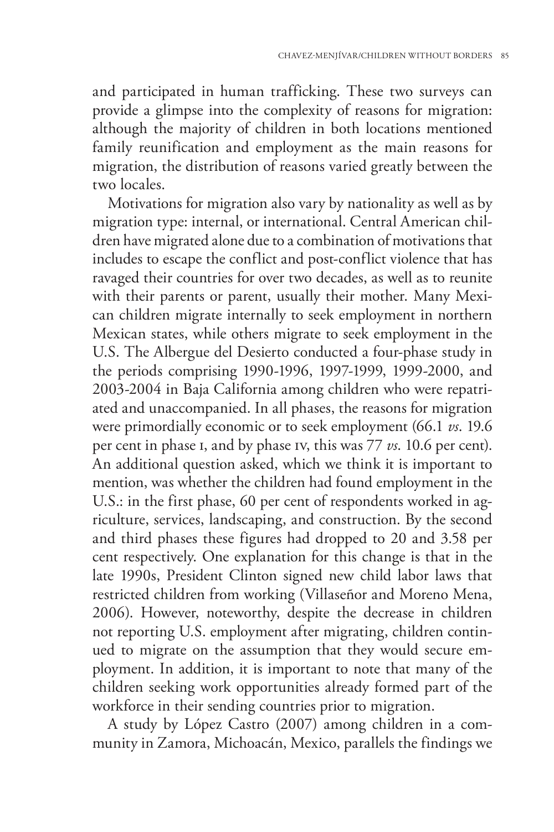and participated in human trafficking. These two surveys can provide a glimpse into the complexity of reasons for migration: although the majority of children in both locations mentioned family reunification and employment as the main reasons for migration, the distribution of reasons varied greatly between the two locales.

Motivations for migration also vary by nationality as well as by migration type: internal, or international. Central American children have migrated alone due to a combination of motivations that includes to escape the conflict and post-conflict violence that has ravaged their countries for over two decades, as well as to reunite with their parents or parent, usually their mother. Many Mexican children migrate internally to seek employment in northern Mexican states, while others migrate to seek employment in the U.S. The Albergue del Desierto conducted a four-phase study in the periods comprising 1990-1996, 1997-1999, 1999-2000, and 2003-2004 in Baja California among children who were repatriated and unaccompanied. In all phases, the reasons for migration were primordially economic or to seek employment (66.1 *vs*. 19.6 per cent in phase i, and by phase iv, this was 77 *vs*. 10.6 per cent). An additional question asked, which we think it is important to mention, was whether the children had found employment in the U.S.: in the first phase, 60 per cent of respondents worked in agriculture, services, landscaping, and construction. By the second and third phases these figures had dropped to 20 and 3.58 per cent respectively. One explanation for this change is that in the late 1990s, President Clinton signed new child labor laws that restricted children from working (Villaseñor and Moreno Mena, 2006). However, noteworthy, despite the decrease in children not reporting U.S. employment after migrating, children continued to migrate on the assumption that they would secure employment. In addition, it is important to note that many of the children seeking work opportunities already formed part of the workforce in their sending countries prior to migration.

A study by López Castro (2007) among children in a community in Zamora, Michoacán, Mexico, parallels the findings we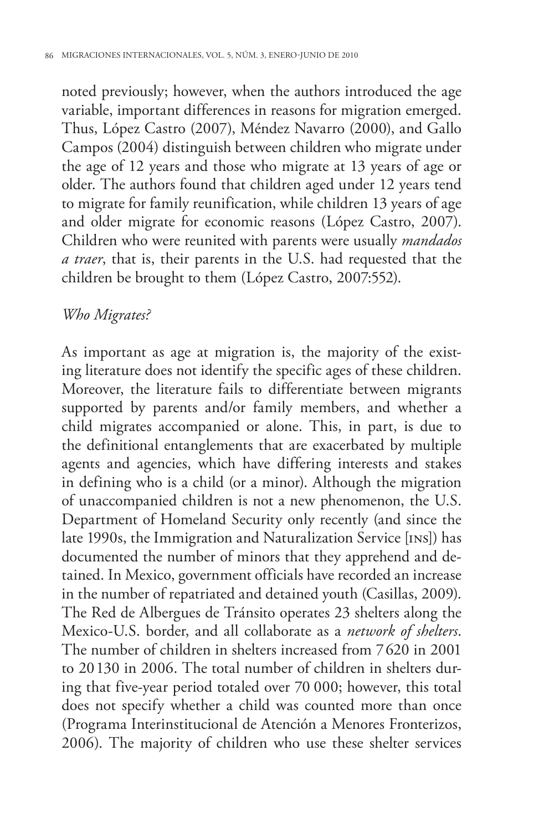noted previously; however, when the authors introduced the age variable, important differences in reasons for migration emerged. Thus, López Castro (2007), Méndez Navarro (2000), and Gallo Campos (2004) distinguish between children who migrate under the age of 12 years and those who migrate at 13 years of age or older. The authors found that children aged under 12 years tend to migrate for family reunification, while children 13 years of age and older migrate for economic reasons (López Castro, 2007). Children who were reunited with parents were usually *mandados a traer*, that is, their parents in the U.S. had requested that the children be brought to them (López Castro, 2007:552).

#### *Who Migrates?*

As important as age at migration is, the majority of the existing literature does not identify the specific ages of these children. Moreover, the literature fails to differentiate between migrants supported by parents and/or family members, and whether a child migrates accompanied or alone. This, in part, is due to the definitional entanglements that are exacerbated by multiple agents and agencies, which have differing interests and stakes in defining who is a child (or a minor). Although the migration of unaccompanied children is not a new phenomenon, the U.S. Department of Homeland Security only recently (and since the late 1990s, the Immigration and Naturalization Service [ins]) has documented the number of minors that they apprehend and detained. In Mexico, government officials have recorded an increase in the number of repatriated and detained youth (Casillas, 2009). The Red de Albergues de Tránsito operates 23 shelters along the Mexico-U.S. border, and all collaborate as a *network of shelters*. The number of children in shelters increased from 7620 in 2001 to 20130 in 2006. The total number of children in shelters during that five-year period totaled over 70 000; however, this total does not specify whether a child was counted more than once (Programa Interinstitucional de Atención a Menores Fronterizos, 2006). The majority of children who use these shelter services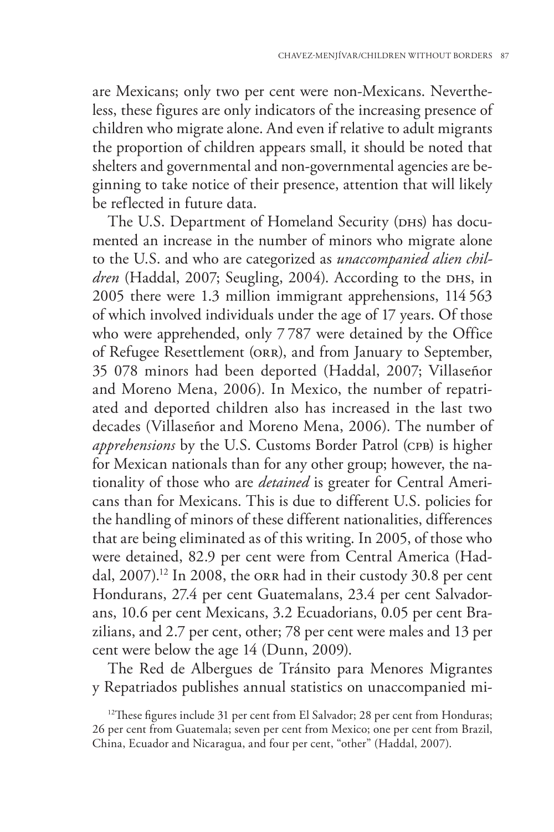are Mexicans; only two per cent were non-Mexicans. Nevertheless, these figures are only indicators of the increasing presence of children who migrate alone. And even if relative to adult migrants the proportion of children appears small, it should be noted that shelters and governmental and non-governmental agencies are beginning to take notice of their presence, attention that will likely be reflected in future data.

The U.S. Department of Homeland Security (DHS) has documented an increase in the number of minors who migrate alone to the U.S. and who are categorized as *unaccompanied alien children* (Haddal, 2007; Seugling, 2004). According to the DHS, in 2005 there were 1.3 million immigrant apprehensions, 114 563 of which involved individuals under the age of 17 years. Of those who were apprehended, only 7 787 were detained by the Office of Refugee Resettlement (orr), and from January to September, 35 078 minors had been deported (Haddal, 2007; Villaseñor and Moreno Mena, 2006). In Mexico, the number of repatriated and deported children also has increased in the last two decades (Villaseñor and Moreno Mena, 2006). The number of *apprehensions* by the U.S. Customs Border Patrol (CPB) is higher for Mexican nationals than for any other group; however, the nationality of those who are *detained* is greater for Central Americans than for Mexicans. This is due to different U.S. policies for the handling of minors of these different nationalities, differences that are being eliminated as of this writing. In 2005, of those who were detained, 82.9 per cent were from Central America (Haddal, 2007).<sup>12</sup> In 2008, the ORR had in their custody 30.8 per cent Hondurans, 27.4 per cent Guatemalans, 23.4 per cent Salvadorans, 10.6 per cent Mexicans, 3.2 Ecuadorians, 0.05 per cent Brazilians, and 2.7 per cent, other; 78 per cent were males and 13 per cent were below the age 14 (Dunn, 2009).

The Red de Albergues de Tránsito para Menores Migrantes y Repatriados publishes annual statistics on unaccompanied mi-

<sup>&</sup>lt;sup>12</sup>These figures include 31 per cent from El Salvador; 28 per cent from Honduras; 26 per cent from Guatemala; seven per cent from Mexico; one per cent from Brazil, China, Ecuador and Nicaragua, and four per cent, "other" (Haddal, 2007).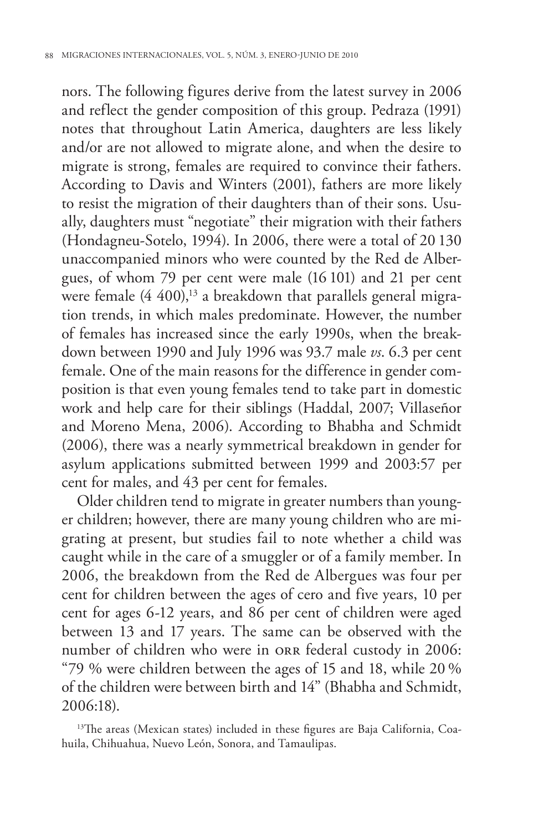nors. The following figures derive from the latest survey in 2006 and reflect the gender composition of this group. Pedraza (1991) notes that throughout Latin America, daughters are less likely and/or are not allowed to migrate alone, and when the desire to migrate is strong, females are required to convince their fathers. According to Davis and Winters (2001), fathers are more likely to resist the migration of their daughters than of their sons. Usually, daughters must "negotiate" their migration with their fathers (Hondagneu-Sotelo, 1994). In 2006, there were a total of 20 130 unaccompanied minors who were counted by the Red de Albergues, of whom 79 per cent were male (16 101) and 21 per cent were female  $(4\;400)$ ,<sup>13</sup> a breakdown that parallels general migration trends, in which males predominate. However, the number of females has increased since the early 1990s, when the breakdown between 1990 and July 1996 was 93.7 male *vs*. 6.3 per cent female. One of the main reasons for the difference in gender composition is that even young females tend to take part in domestic work and help care for their siblings (Haddal, 2007; Villaseñor and Moreno Mena, 2006). According to Bhabha and Schmidt (2006), there was a nearly symmetrical breakdown in gender for asylum applications submitted between 1999 and 2003:57 per cent for males, and 43 per cent for females.

Older children tend to migrate in greater numbers than younger children; however, there are many young children who are migrating at present, but studies fail to note whether a child was caught while in the care of a smuggler or of a family member. In 2006, the breakdown from the Red de Albergues was four per cent for children between the ages of cero and five years, 10 per cent for ages 6-12 years, and 86 per cent of children were aged between 13 and 17 years. The same can be observed with the number of children who were in orr federal custody in 2006: "79 % were children between the ages of 15 and 18, while 20 % of the children were between birth and 14" (Bhabha and Schmidt, 2006:18).

<sup>13</sup>The areas (Mexican states) included in these figures are Baja California, Coahuila, Chihuahua, Nuevo León, Sonora, and Tamaulipas.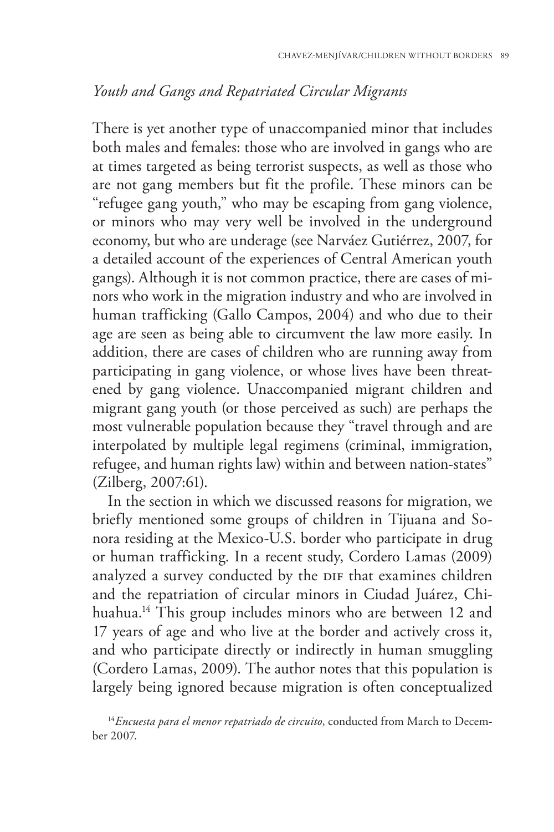# *Youth and Gangs and Repatriated Circular Migrants*

There is yet another type of unaccompanied minor that includes both males and females: those who are involved in gangs who are at times targeted as being terrorist suspects, as well as those who are not gang members but fit the profile. These minors can be "refugee gang youth," who may be escaping from gang violence, or minors who may very well be involved in the underground economy, but who are underage (see Narváez Gutiérrez, 2007, for a detailed account of the experiences of Central American youth gangs). Although it is not common practice, there are cases of minors who work in the migration industry and who are involved in human trafficking (Gallo Campos, 2004) and who due to their age are seen as being able to circumvent the law more easily. In addition, there are cases of children who are running away from participating in gang violence, or whose lives have been threatened by gang violence. Unaccompanied migrant children and migrant gang youth (or those perceived as such) are perhaps the most vulnerable population because they "travel through and are interpolated by multiple legal regimens (criminal, immigration, refugee, and human rights law) within and between nation-states" (Zilberg, 2007:61).

In the section in which we discussed reasons for migration, we briefly mentioned some groups of children in Tijuana and Sonora residing at the Mexico-U.S. border who participate in drug or human trafficking. In a recent study, Cordero Lamas (2009) analyzed a survey conducted by the DIF that examines children and the repatriation of circular minors in Ciudad Juárez, Chihuahua.<sup>14</sup> This group includes minors who are between 12 and 17 years of age and who live at the border and actively cross it, and who participate directly or indirectly in human smuggling (Cordero Lamas, 2009). The author notes that this population is largely being ignored because migration is often conceptualized

<sup>&</sup>lt;sup>14</sup> Encuesta para el menor repatriado de circuito, conducted from March to December 2007.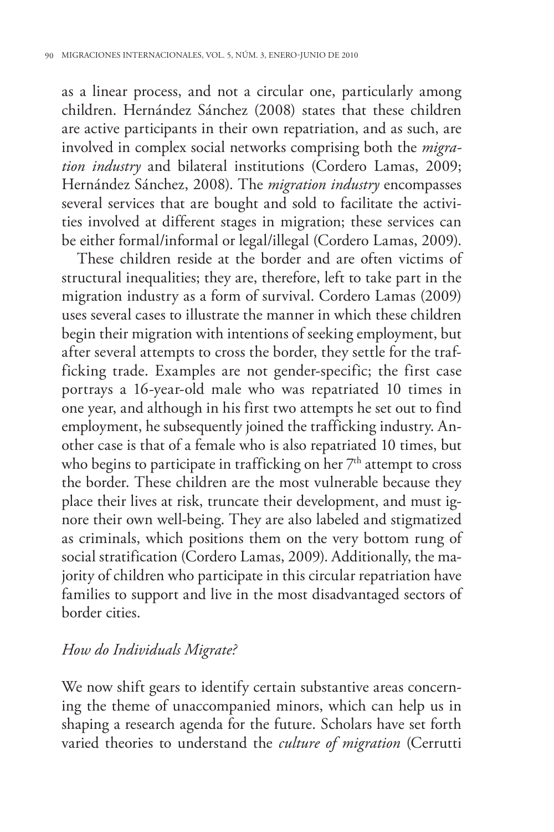as a linear process, and not a circular one, particularly among children. Hernández Sánchez (2008) states that these children are active participants in their own repatriation, and as such, are involved in complex social networks comprising both the *migration industry* and bilateral institutions (Cordero Lamas, 2009; Hernández Sánchez, 2008). The *migration industry* encompasses several services that are bought and sold to facilitate the activities involved at different stages in migration; these services can be either formal/informal or legal/illegal (Cordero Lamas, 2009).

These children reside at the border and are often victims of structural inequalities; they are, therefore, left to take part in the migration industry as a form of survival. Cordero Lamas (2009) uses several cases to illustrate the manner in which these children begin their migration with intentions of seeking employment, but after several attempts to cross the border, they settle for the trafficking trade. Examples are not gender-specific; the first case portrays a 16-year-old male who was repatriated 10 times in one year, and although in his first two attempts he set out to find employment, he subsequently joined the trafficking industry. Another case is that of a female who is also repatriated 10 times, but who begins to participate in trafficking on her  $7<sup>th</sup>$  attempt to cross the border. These children are the most vulnerable because they place their lives at risk, truncate their development, and must ignore their own well-being. They are also labeled and stigmatized as criminals, which positions them on the very bottom rung of social stratification (Cordero Lamas, 2009). Additionally, the majority of children who participate in this circular repatriation have families to support and live in the most disadvantaged sectors of border cities.

#### *How do Individuals Migrate?*

We now shift gears to identify certain substantive areas concerning the theme of unaccompanied minors, which can help us in shaping a research agenda for the future. Scholars have set forth varied theories to understand the *culture of migration* (Cerrutti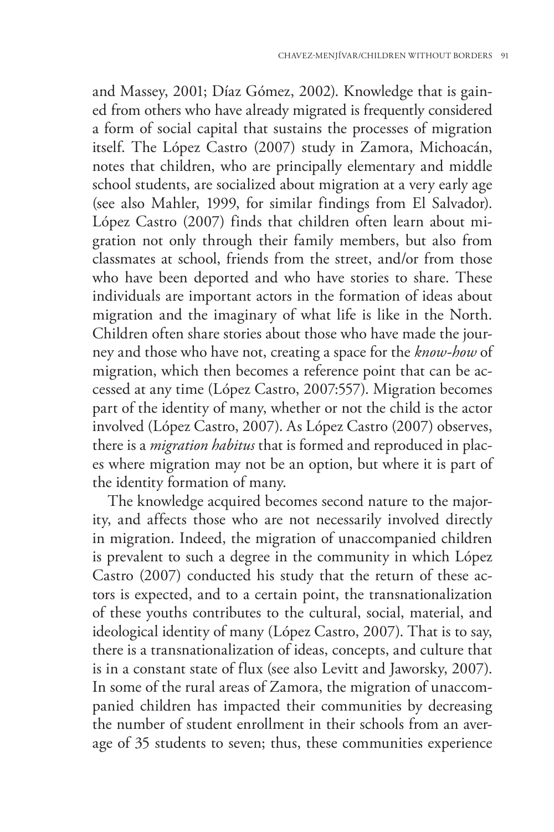and Massey, 2001; Díaz Gómez, 2002). Knowledge that is gained from others who have already migrated is frequently considered a form of social capital that sustains the processes of migration itself. The López Castro (2007) study in Zamora, Michoacán, notes that children, who are principally elementary and middle school students, are socialized about migration at a very early age (see also Mahler, 1999, for similar findings from El Salvador). López Castro (2007) finds that children often learn about migration not only through their family members, but also from classmates at school, friends from the street, and/or from those who have been deported and who have stories to share. These individuals are important actors in the formation of ideas about migration and the imaginary of what life is like in the North. Children often share stories about those who have made the journey and those who have not, creating a space for the *know-how* of migration, which then becomes a reference point that can be accessed at any time (López Castro, 2007:557). Migration becomes part of the identity of many, whether or not the child is the actor involved (López Castro, 2007). As López Castro (2007) observes, there is a *migration habitus* that is formed and reproduced in places where migration may not be an option, but where it is part of the identity formation of many.

The knowledge acquired becomes second nature to the majority, and affects those who are not necessarily involved directly in migration. Indeed, the migration of unaccompanied children is prevalent to such a degree in the community in which López Castro (2007) conducted his study that the return of these actors is expected, and to a certain point, the transnationalization of these youths contributes to the cultural, social, material, and ideological identity of many (López Castro, 2007). That is to say, there is a transnationalization of ideas, concepts, and culture that is in a constant state of flux (see also Levitt and Jaworsky, 2007). In some of the rural areas of Zamora, the migration of unaccompanied children has impacted their communities by decreasing the number of student enrollment in their schools from an average of 35 students to seven; thus, these communities experience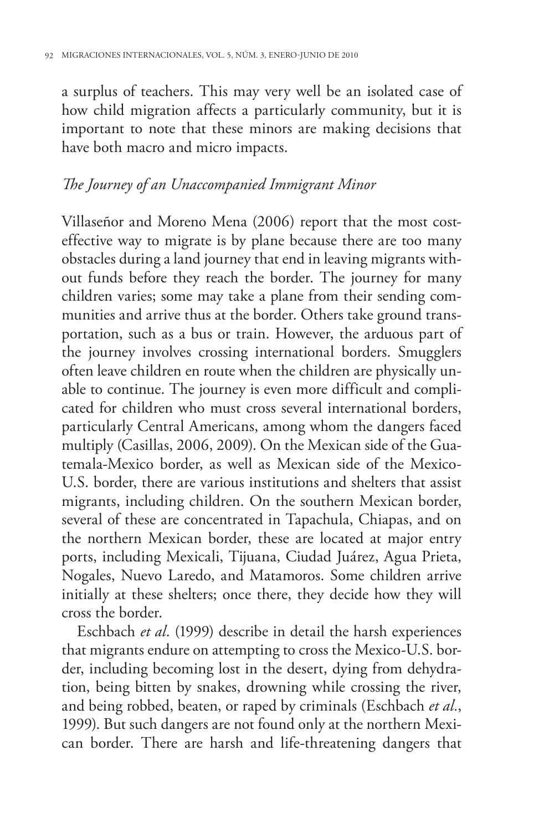a surplus of teachers. This may very well be an isolated case of how child migration affects a particularly community, but it is important to note that these minors are making decisions that have both macro and micro impacts.

# *The Journey of an Unaccompanied Immigrant Minor*

Villaseñor and Moreno Mena (2006) report that the most costeffective way to migrate is by plane because there are too many obstacles during a land journey that end in leaving migrants without funds before they reach the border. The journey for many children varies; some may take a plane from their sending communities and arrive thus at the border. Others take ground transportation, such as a bus or train. However, the arduous part of the journey involves crossing international borders. Smugglers often leave children en route when the children are physically unable to continue. The journey is even more difficult and complicated for children who must cross several international borders, particularly Central Americans, among whom the dangers faced multiply (Casillas, 2006, 2009). On the Mexican side of the Guatemala-Mexico border, as well as Mexican side of the Mexico-U.S. border, there are various institutions and shelters that assist migrants, including children. On the southern Mexican border, several of these are concentrated in Tapachula, Chiapas, and on the northern Mexican border, these are located at major entry ports, including Mexicali, Tijuana, Ciudad Juárez, Agua Prieta, Nogales, Nuevo Laredo, and Matamoros. Some children arrive initially at these shelters; once there, they decide how they will cross the border.

Eschbach *et al*. (1999) describe in detail the harsh experiences that migrants endure on attempting to cross the Mexico-U.S. border, including becoming lost in the desert, dying from dehydration, being bitten by snakes, drowning while crossing the river, and being robbed, beaten, or raped by criminals (Eschbach *et al.*, 1999). But such dangers are not found only at the northern Mexican border. There are harsh and life-threatening dangers that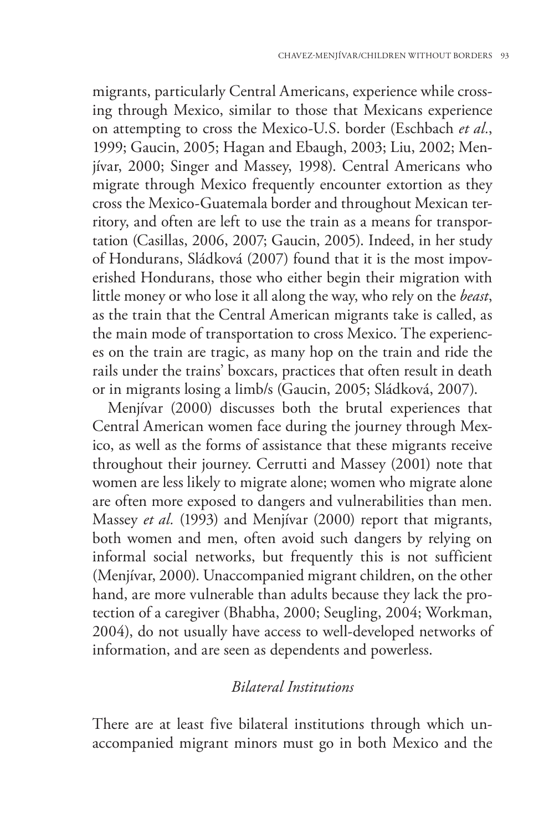migrants, particularly Central Americans, experience while crossing through Mexico, similar to those that Mexicans experience on attempting to cross the Mexico-U.S. border (Eschbach *et al.*, 1999; Gaucin, 2005; Hagan and Ebaugh, 2003; Liu, 2002; Menjívar, 2000; Singer and Massey, 1998). Central Americans who migrate through Mexico frequently encounter extortion as they cross the Mexico-Guatemala border and throughout Mexican territory, and often are left to use the train as a means for transportation (Casillas, 2006, 2007; Gaucin, 2005). Indeed, in her study of Hondurans, Sládková (2007) found that it is the most impoverished Hondurans, those who either begin their migration with little money or who lose it all along the way, who rely on the *beast*, as the train that the Central American migrants take is called, as the main mode of transportation to cross Mexico. The experiences on the train are tragic, as many hop on the train and ride the rails under the trains' boxcars, practices that often result in death or in migrants losing a limb/s (Gaucin, 2005; Sládková, 2007).

Menjívar (2000) discusses both the brutal experiences that Central American women face during the journey through Mexico, as well as the forms of assistance that these migrants receive throughout their journey. Cerrutti and Massey (2001) note that women are less likely to migrate alone; women who migrate alone are often more exposed to dangers and vulnerabilities than men. Massey *et al.* (1993) and Menjívar (2000) report that migrants, both women and men, often avoid such dangers by relying on informal social networks, but frequently this is not sufficient (Menjívar, 2000). Unaccompanied migrant children, on the other hand, are more vulnerable than adults because they lack the protection of a caregiver (Bhabha, 2000; Seugling, 2004; Workman, 2004), do not usually have access to well-developed networks of information, and are seen as dependents and powerless.

## *Bilateral Institutions*

There are at least five bilateral institutions through which unaccompanied migrant minors must go in both Mexico and the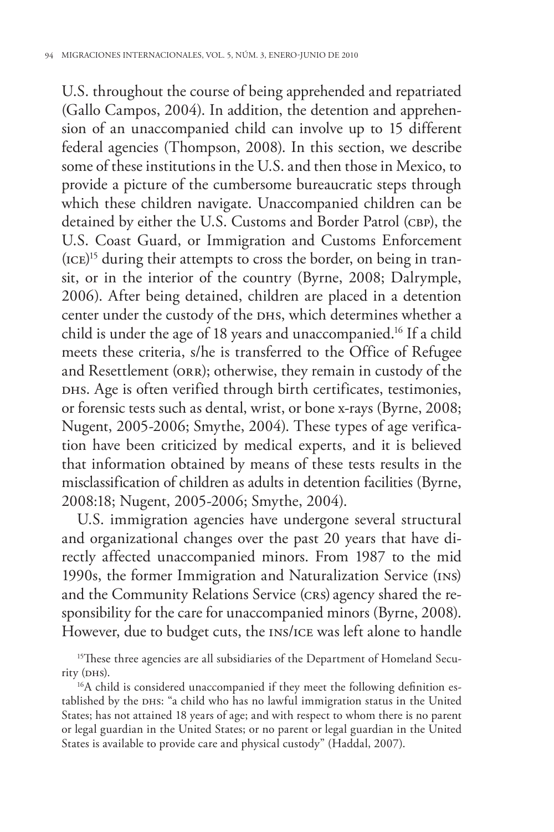U.S. throughout the course of being apprehended and repatriated (Gallo Campos, 2004). In addition, the detention and apprehension of an unaccompanied child can involve up to 15 different federal agencies (Thompson, 2008). In this section, we describe some of these institutions in the U.S. and then those in Mexico, to provide a picture of the cumbersome bureaucratic steps through which these children navigate. Unaccompanied children can be detained by either the U.S. Customs and Border Patrol (CBP), the U.S. Coast Guard, or Immigration and Customs Enforcement (ice) 15 during their attempts to cross the border, on being in transit, or in the interior of the country (Byrne, 2008; Dalrymple, 2006). After being detained, children are placed in a detention center under the custody of the DHS, which determines whether a child is under the age of 18 years and unaccompanied.16 If a child meets these criteria, s/he is transferred to the Office of Refugee and Resettlement (ORR); otherwise, they remain in custody of the DHS. Age is often verified through birth certificates, testimonies, or forensic tests such as dental, wrist, or bone x-rays (Byrne, 2008; Nugent, 2005-2006; Smythe, 2004). These types of age verification have been criticized by medical experts, and it is believed that information obtained by means of these tests results in the misclassification of children as adults in detention facilities (Byrne, 2008:18; Nugent, 2005-2006; Smythe, 2004).

U.S. immigration agencies have undergone several structural and organizational changes over the past 20 years that have directly affected unaccompanied minors. From 1987 to the mid 1990s, the former Immigration and Naturalization Service (ins) and the Community Relations Service (crs) agency shared the responsibility for the care for unaccompanied minors (Byrne, 2008). However, due to budget cuts, the ins/ice was left alone to handle

tablished by the DHS: "a child who has no lawful immigration status in the United States; has not attained 18 years of age; and with respect to whom there is no parent or legal guardian in the United States; or no parent or legal guardian in the United States is available to provide care and physical custody" (Haddal, 2007).

<sup>&</sup>lt;sup>15</sup>These three agencies are all subsidiaries of the Department of Homeland Security (DHs).<br><sup>16</sup>A child is considered unaccompanied if they meet the following definition es-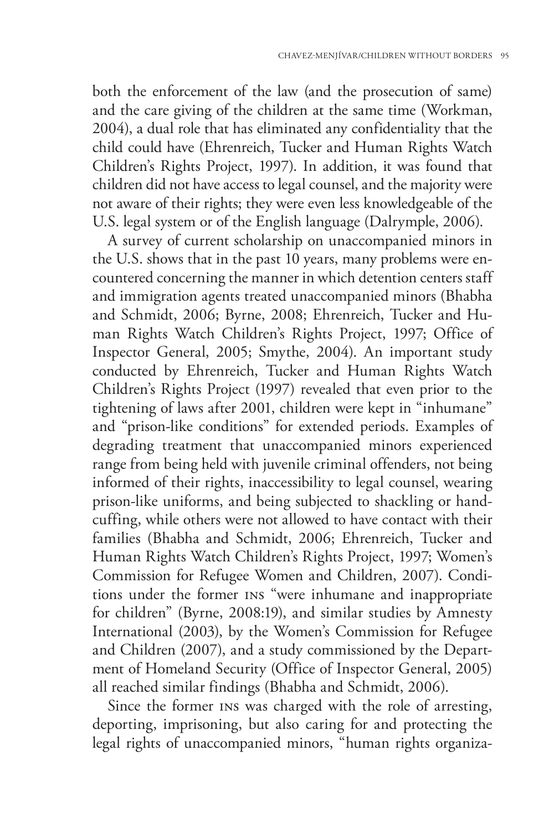both the enforcement of the law (and the prosecution of same) and the care giving of the children at the same time (Workman, 2004), a dual role that has eliminated any confidentiality that the child could have (Ehrenreich, Tucker and Human Rights Watch Children's Rights Project, 1997). In addition, it was found that children did not have access to legal counsel, and the majority were not aware of their rights; they were even less knowledgeable of the U.S. legal system or of the English language (Dalrymple, 2006).

A survey of current scholarship on unaccompanied minors in the U.S. shows that in the past 10 years, many problems were encountered concerning the manner in which detention centers staff and immigration agents treated unaccompanied minors (Bhabha and Schmidt, 2006; Byrne, 2008; Ehrenreich, Tucker and Human Rights Watch Children's Rights Project, 1997; Office of Inspector General, 2005; Smythe, 2004). An important study conducted by Ehrenreich, Tucker and Human Rights Watch Children's Rights Project (1997) revealed that even prior to the tightening of laws after 2001, children were kept in "inhumane" and "prison-like conditions" for extended periods. Examples of degrading treatment that unaccompanied minors experienced range from being held with juvenile criminal offenders, not being informed of their rights, inaccessibility to legal counsel, wearing prison-like uniforms, and being subjected to shackling or handcuffing, while others were not allowed to have contact with their families (Bhabha and Schmidt, 2006; Ehrenreich, Tucker and Human Rights Watch Children's Rights Project, 1997; Women's Commission for Refugee Women and Children, 2007). Conditions under the former ins "were inhumane and inappropriate for children" (Byrne, 2008:19), and similar studies by Amnesty International (2003), by the Women's Commission for Refugee and Children (2007), and a study commissioned by the Department of Homeland Security (Office of Inspector General, 2005) all reached similar findings (Bhabha and Schmidt, 2006).

Since the former ins was charged with the role of arresting, deporting, imprisoning, but also caring for and protecting the legal rights of unaccompanied minors, "human rights organiza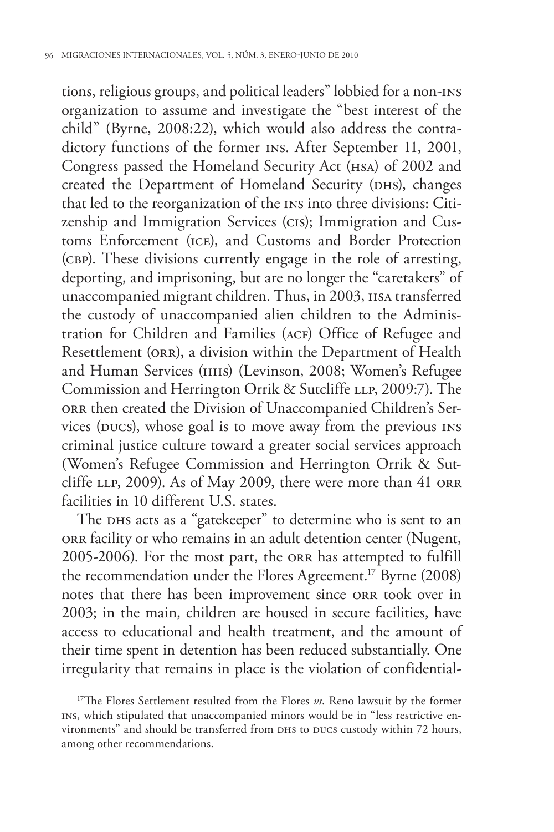tions, religious groups, and political leaders" lobbied for a non-ins organization to assume and investigate the "best interest of the child" (Byrne, 2008:22), which would also address the contradictory functions of the former ins. After September 11, 2001, Congress passed the Homeland Security Act (hsa) of 2002 and created the Department of Homeland Security (DHS), changes that led to the reorganization of the ins into three divisions: Citizenship and Immigration Services (cis); Immigration and Customs Enforcement (ice), and Customs and Border Protection (cbp). These divisions currently engage in the role of arresting, deporting, and imprisoning, but are no longer the "caretakers" of unaccompanied migrant children. Thus, in 2003, HSA transferred the custody of unaccompanied alien children to the Administration for Children and Families (ACF) Office of Refugee and Resettlement (orr), a division within the Department of Health and Human Services (hhs) (Levinson, 2008; Women's Refugee Commission and Herrington Orrik & Sutcliffe LLP, 2009:7). The orr then created the Division of Unaccompanied Children's Services (DUCS), whose goal is to move away from the previous INS criminal justice culture toward a greater social services approach (Women's Refugee Commission and Herrington Orrik & Sutcliffe LLP, 2009). As of May 2009, there were more than 41 ORR facilities in 10 different U.S. states.

The DHS acts as a "gatekeeper" to determine who is sent to an orr facility or who remains in an adult detention center (Nugent, 2005-2006). For the most part, the orr has attempted to fulfill the recommendation under the Flores Agreement.<sup>17</sup> Byrne (2008) notes that there has been improvement since ORR took over in 2003; in the main, children are housed in secure facilities, have access to educational and health treatment, and the amount of their time spent in detention has been reduced substantially. One irregularity that remains in place is the violation of confidential-

17The Flores Settlement resulted from the Flores *vs*. Reno lawsuit by the former ins, which stipulated that unaccompanied minors would be in "less restrictive environments" and should be transferred from DHS to DUCS custody within 72 hours, among other recommendations.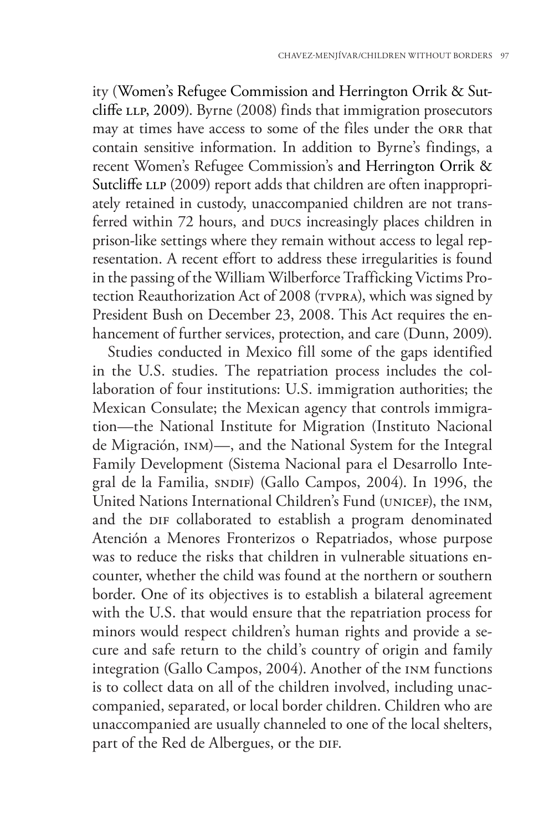ity (Women's Refugee Commission and Herrington Orrik & Sutcliffe LLP, 2009). Byrne (2008) finds that immigration prosecutors may at times have access to some of the files under the orr that contain sensitive information. In addition to Byrne's findings, a recent Women's Refugee Commission's and Herrington Orrik & Sutcliffe LLP (2009) report adds that children are often inappropriately retained in custody, unaccompanied children are not transferred within 72 hours, and pucs increasingly places children in prison-like settings where they remain without access to legal representation. A recent effort to address these irregularities is found in the passing of the William Wilberforce Trafficking Victims Protection Reauthorization Act of 2008 (TVPRA), which was signed by President Bush on December 23, 2008. This Act requires the enhancement of further services, protection, and care (Dunn, 2009).

Studies conducted in Mexico fill some of the gaps identified in the U.S. studies. The repatriation process includes the collaboration of four institutions: U.S. immigration authorities; the Mexican Consulate; the Mexican agency that controls immigration—the National Institute for Migration (Instituto Nacional de Migración, inm)—, and the National System for the Integral Family Development (Sistema Nacional para el Desarrollo Integral de la Familia, sn $DIF$ ) (Gallo Campos, 2004). In 1996, the United Nations International Children's Fund (UNICEF), the INM, and the DIF collaborated to establish a program denominated Atención a Menores Fronterizos o Repatriados, whose purpose was to reduce the risks that children in vulnerable situations encounter, whether the child was found at the northern or southern border. One of its objectives is to establish a bilateral agreement with the U.S. that would ensure that the repatriation process for minors would respect children's human rights and provide a secure and safe return to the child's country of origin and family integration (Gallo Campos, 2004). Another of the inm functions is to collect data on all of the children involved, including unaccompanied, separated, or local border children. Children who are unaccompanied are usually channeled to one of the local shelters, part of the Red de Albergues, or the DIF.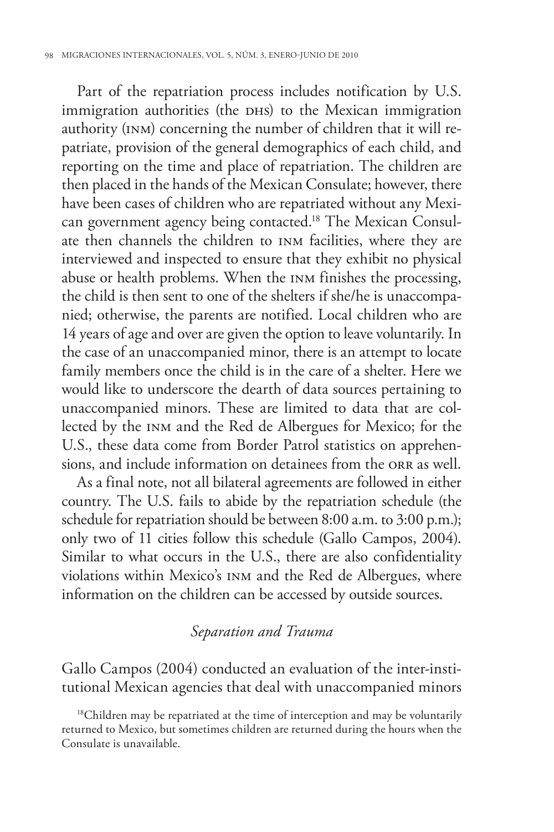Part of the repatriation process includes notification by U.S. immigration authorities (the DHS) to the Mexican immigration authority (inm) concerning the number of children that it will repatriate, provision of the general demographics of each child, and reporting on the time and place of repatriation. The children are then placed in the hands of the Mexican Consulate; however, there have been cases of children who are repatriated without any Mexican government agency being contacted.18 The Mexican Consulate then channels the children to inm facilities, where they are interviewed and inspected to ensure that they exhibit no physical abuse or health problems. When the inm finishes the processing, the child is then sent to one of the shelters if she/he is unaccompanied; otherwise, the parents are notified. Local children who are 14 years of age and over are given the option to leave voluntarily. In the case of an unaccompanied minor, there is an attempt to locate family members once the child is in the care of a shelter. Here we would like to underscore the dearth of data sources pertaining to unaccompanied minors. These are limited to data that are collected by the inm and the Red de Albergues for Mexico; for the U.S., these data come from Border Patrol statistics on apprehensions, and include information on detainees from the ORR as well.

As a final note, not all bilateral agreements are followed in either country. The U.S. fails to abide by the repatriation schedule (the schedule for repatriation should be between 8:00 a.m. to 3:00 p.m.); only two of 11 cities follow this schedule (Gallo Campos, 2004). Similar to what occurs in the U.S., there are also confidentiality violations within Mexico's inm and the Red de Albergues, where information on the children can be accessed by outside sources.

# *Separation and Trauma*

Gallo Campos (2004) conducted an evaluation of the inter-institutional Mexican agencies that deal with unaccompanied minors

<sup>&</sup>lt;sup>18</sup>Children may be repatriated at the time of interception and may be voluntarily returned to Mexico, but sometimes children are returned during the hours when the Consulate is unavailable.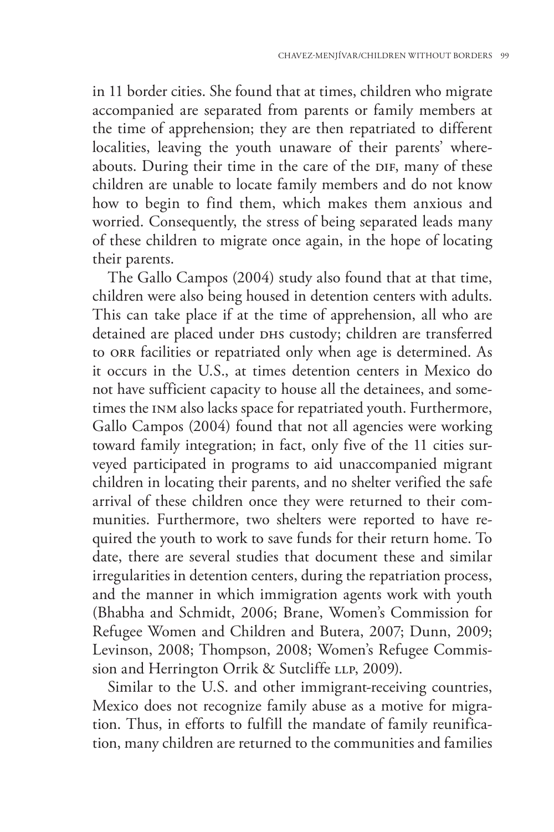in 11 border cities. She found that at times, children who migrate accompanied are separated from parents or family members at the time of apprehension; they are then repatriated to different localities, leaving the youth unaware of their parents' whereabouts. During their time in the care of the DIF, many of these children are unable to locate family members and do not know how to begin to find them, which makes them anxious and worried. Consequently, the stress of being separated leads many of these children to migrate once again, in the hope of locating their parents.

The Gallo Campos (2004) study also found that at that time, children were also being housed in detention centers with adults. This can take place if at the time of apprehension, all who are detained are placed under DHS custody; children are transferred to orr facilities or repatriated only when age is determined. As it occurs in the U.S., at times detention centers in Mexico do not have sufficient capacity to house all the detainees, and sometimes the inm also lacks space for repatriated youth. Furthermore, Gallo Campos (2004) found that not all agencies were working toward family integration; in fact, only five of the 11 cities surveyed participated in programs to aid unaccompanied migrant children in locating their parents, and no shelter verified the safe arrival of these children once they were returned to their communities. Furthermore, two shelters were reported to have required the youth to work to save funds for their return home. To date, there are several studies that document these and similar irregularities in detention centers, during the repatriation process, and the manner in which immigration agents work with youth (Bhabha and Schmidt, 2006; Brane, Women's Commission for Refugee Women and Children and Butera, 2007; Dunn, 2009; Levinson, 2008; Thompson, 2008; Women's Refugee Commission and Herrington Orrik & Sutcliffe LLP, 2009).

Similar to the U.S. and other immigrant-receiving countries, Mexico does not recognize family abuse as a motive for migration. Thus, in efforts to fulfill the mandate of family reunification, many children are returned to the communities and families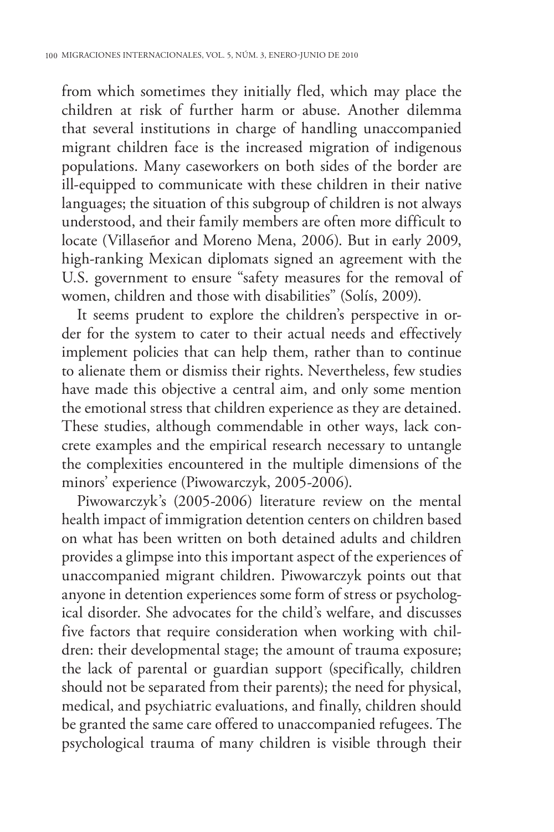from which sometimes they initially fled, which may place the children at risk of further harm or abuse. Another dilemma that several institutions in charge of handling unaccompanied migrant children face is the increased migration of indigenous populations. Many caseworkers on both sides of the border are ill-equipped to communicate with these children in their native languages; the situation of this subgroup of children is not always understood, and their family members are often more difficult to locate (Villaseñor and Moreno Mena, 2006). But in early 2009, high-ranking Mexican diplomats signed an agreement with the U.S. government to ensure "safety measures for the removal of women, children and those with disabilities" (Solís, 2009).

It seems prudent to explore the children's perspective in order for the system to cater to their actual needs and effectively implement policies that can help them, rather than to continue to alienate them or dismiss their rights. Nevertheless, few studies have made this objective a central aim, and only some mention the emotional stress that children experience as they are detained. These studies, although commendable in other ways, lack concrete examples and the empirical research necessary to untangle the complexities encountered in the multiple dimensions of the minors' experience (Piwowarczyk, 2005-2006).

Piwowarczyk's (2005-2006) literature review on the mental health impact of immigration detention centers on children based on what has been written on both detained adults and children provides a glimpse into this important aspect of the experiences of unaccompanied migrant children. Piwowarczyk points out that anyone in detention experiences some form of stress or psychological disorder. She advocates for the child's welfare, and discusses five factors that require consideration when working with children: their developmental stage; the amount of trauma exposure; the lack of parental or guardian support (specifically, children should not be separated from their parents); the need for physical, medical, and psychiatric evaluations, and finally, children should be granted the same care offered to unaccompanied refugees. The psychological trauma of many children is visible through their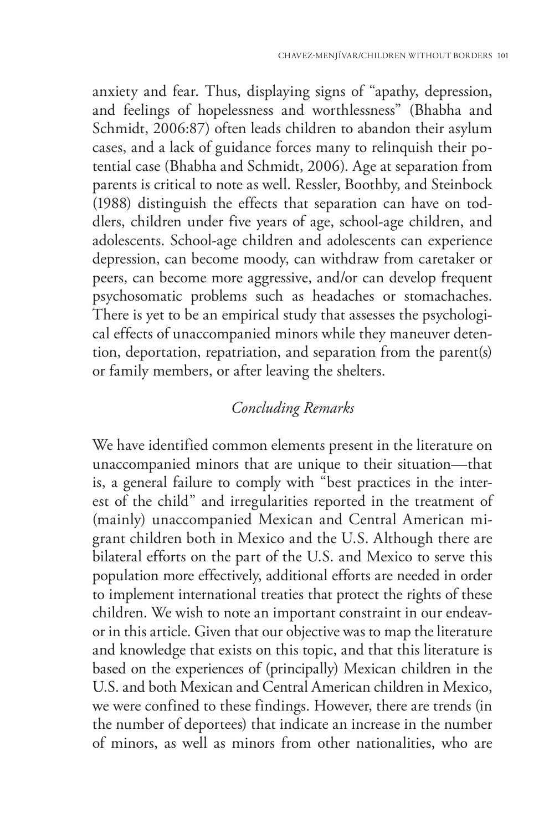anxiety and fear. Thus, displaying signs of "apathy, depression, and feelings of hopelessness and worthlessness" (Bhabha and Schmidt, 2006:87) often leads children to abandon their asylum cases, and a lack of guidance forces many to relinquish their potential case (Bhabha and Schmidt, 2006). Age at separation from parents is critical to note as well. Ressler, Boothby, and Steinbock (1988) distinguish the effects that separation can have on toddlers, children under five years of age, school-age children, and adolescents. School-age children and adolescents can experience depression, can become moody, can withdraw from caretaker or peers, can become more aggressive, and/or can develop frequent psychosomatic problems such as headaches or stomachaches. There is yet to be an empirical study that assesses the psychological effects of unaccompanied minors while they maneuver detention, deportation, repatriation, and separation from the parent(s) or family members, or after leaving the shelters.

# *Concluding Remarks*

We have identified common elements present in the literature on unaccompanied minors that are unique to their situation—that is, a general failure to comply with "best practices in the interest of the child" and irregularities reported in the treatment of (mainly) unaccompanied Mexican and Central American migrant children both in Mexico and the U.S. Although there are bilateral efforts on the part of the U.S. and Mexico to serve this population more effectively, additional efforts are needed in order to implement international treaties that protect the rights of these children. We wish to note an important constraint in our endeavor in this article. Given that our objective was to map the literature and knowledge that exists on this topic, and that this literature is based on the experiences of (principally) Mexican children in the U.S. and both Mexican and Central American children in Mexico, we were confined to these findings. However, there are trends (in the number of deportees) that indicate an increase in the number of minors, as well as minors from other nationalities, who are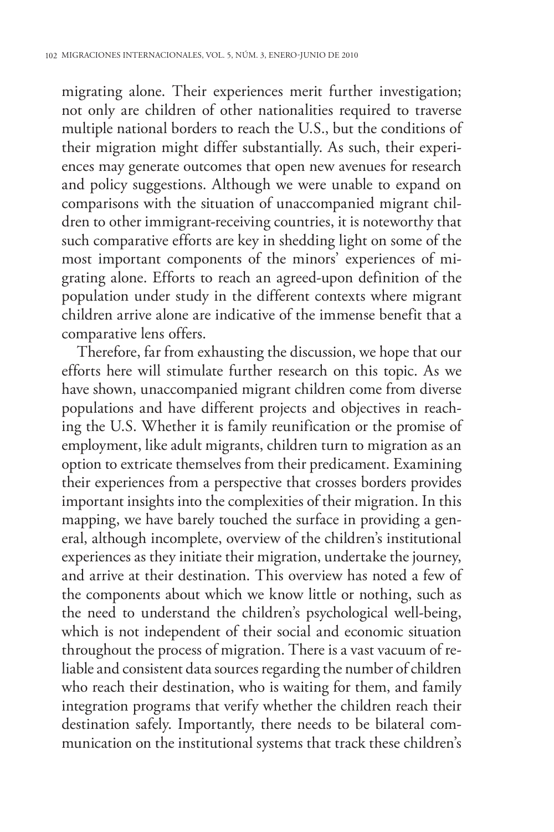migrating alone. Their experiences merit further investigation; not only are children of other nationalities required to traverse multiple national borders to reach the U.S., but the conditions of their migration might differ substantially. As such, their experiences may generate outcomes that open new avenues for research and policy suggestions. Although we were unable to expand on comparisons with the situation of unaccompanied migrant children to other immigrant-receiving countries, it is noteworthy that such comparative efforts are key in shedding light on some of the most important components of the minors' experiences of migrating alone. Efforts to reach an agreed-upon definition of the population under study in the different contexts where migrant children arrive alone are indicative of the immense benefit that a comparative lens offers.

Therefore, far from exhausting the discussion, we hope that our efforts here will stimulate further research on this topic. As we have shown, unaccompanied migrant children come from diverse populations and have different projects and objectives in reaching the U.S. Whether it is family reunification or the promise of employment, like adult migrants, children turn to migration as an option to extricate themselves from their predicament. Examining their experiences from a perspective that crosses borders provides important insights into the complexities of their migration. In this mapping, we have barely touched the surface in providing a general, although incomplete, overview of the children's institutional experiences as they initiate their migration, undertake the journey, and arrive at their destination. This overview has noted a few of the components about which we know little or nothing, such as the need to understand the children's psychological well-being, which is not independent of their social and economic situation throughout the process of migration. There is a vast vacuum of reliable and consistent data sources regarding the number of children who reach their destination, who is waiting for them, and family integration programs that verify whether the children reach their destination safely. Importantly, there needs to be bilateral communication on the institutional systems that track these children's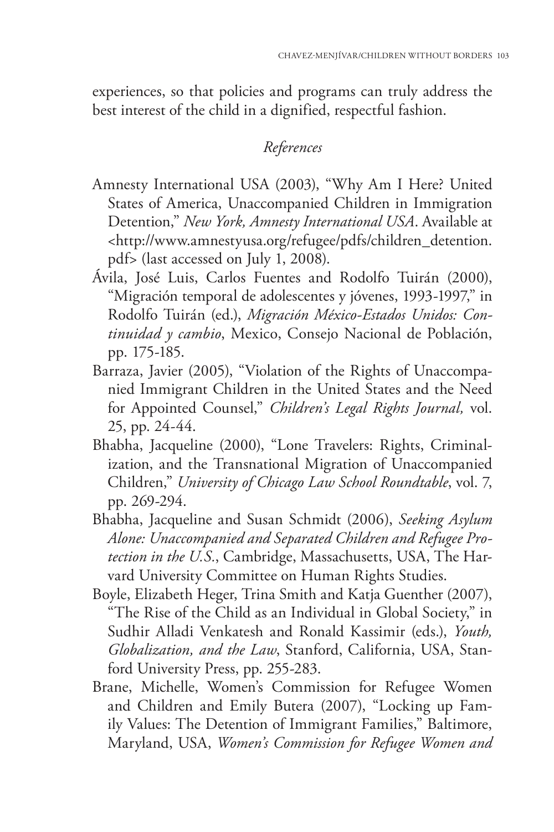experiences, so that policies and programs can truly address the best interest of the child in a dignified, respectful fashion.

# *References*

- Amnesty International USA (2003), "Why Am I Here? United States of America, Unaccompanied Children in Immigration Detention," *New York, Amnesty International USA*. Available at <http://www.amnestyusa.org/refugee/pdfs/children\_detention. pdf> (last accessed on July 1, 2008).
- Ávila, José Luis, Carlos Fuentes and Rodolfo Tuirán (2000), "Migración temporal de adolescentes y jóvenes, 1993-1997," in Rodolfo Tuirán (ed.), *Migración México-Estados Unidos: Continuidad y cambio*, Mexico, Consejo Nacional de Población, pp. 175-185.
- Barraza, Javier (2005), "Violation of the Rights of Unaccompanied Immigrant Children in the United States and the Need for Appointed Counsel," *Children's Legal Rights Journal,* vol. 25, pp. 24-44.
- Bhabha, Jacqueline (2000), "Lone Travelers: Rights, Criminalization, and the Transnational Migration of Unaccompanied Children," *University of Chicago Law School Roundtable*, vol. 7, pp. 269-294.
- Bhabha, Jacqueline and Susan Schmidt (2006), *Seeking Asylum Alone: Unaccompanied and Separated Children and Refugee Protection in the U.S.*, Cambridge, Massachusetts, USA, The Harvard University Committee on Human Rights Studies.
- Boyle, Elizabeth Heger, Trina Smith and Katja Guenther (2007), "The Rise of the Child as an Individual in Global Society," in Sudhir Alladi Venkatesh and Ronald Kassimir (eds.), *Youth, Globalization, and the Law*, Stanford, California, USA, Stanford University Press, pp. 255-283.
- Brane, Michelle, Women's Commission for Refugee Women and Children and Emily Butera (2007), "Locking up Family Values: The Detention of Immigrant Families," Baltimore, Maryland, USA, *Women's Commission for Refugee Women and*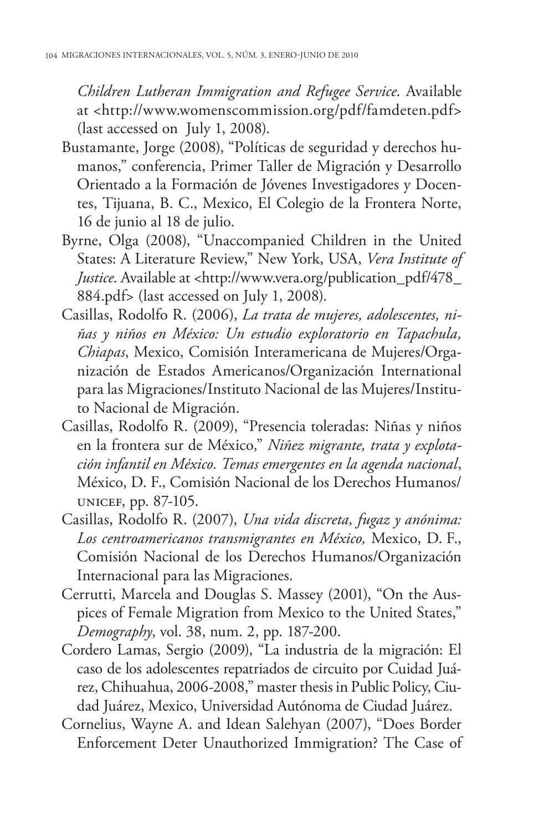*Children Lutheran Immigration and Refugee Service*. Available at <http://www.womenscommission.org/pdf/famdeten.pdf> (last accessed on July 1, 2008).

- Bustamante, Jorge (2008), "Políticas de seguridad y derechos humanos," conferencia, Primer Taller de Migración y Desarrollo Orientado a la Formación de Jóvenes Investigadores y Docentes, Tijuana, B. C., Mexico, El Colegio de la Frontera Norte, 16 de junio al 18 de julio.
- Byrne, Olga (2008), "Unaccompanied Children in the United States: A Literature Review," New York, USA, *Vera Institute of Justice*. Available at <http://www.vera.org/publication\_pdf/478\_ 884.pdf> (last accessed on July 1, 2008).
- Casillas, Rodolfo R. (2006), *La trata de mujeres, adolescentes, niñas y niños en México: Un estudio exploratorio en Tapachula, Chiapas*, Mexico, Comisión Interamericana de Mujeres/Organización de Estados Americanos/Organización International para las Migraciones/Instituto Nacional de las Mujeres/Instituto Nacional de Migración.
- Casillas, Rodolfo R. (2009), "Presencia toleradas: Niñas y niños en la frontera sur de México," *Niñez migrante, trata y explotación infantil en México. Temas emergentes en la agenda nacional*, México, D. F., Comisión Nacional de los Derechos Humanos/ unicef, pp. 87-105.
- Casillas, Rodolfo R. (2007), *Una vida discreta, fugaz y anónima: Los centroamericanos transmigrantes en México,* Mexico, D. F., Comisión Nacional de los Derechos Humanos/Organización Internacional para las Migraciones.
- Cerrutti, Marcela and Douglas S. Massey (2001), "On the Auspices of Female Migration from Mexico to the United States," *Demography*, vol. 38, num. 2, pp. 187-200.
- Cordero Lamas, Sergio (2009), "La industria de la migración: El caso de los adolescentes repatriados de circuito por Cuidad Juárez, Chihuahua, 2006-2008," master thesis in Public Policy, Ciudad Juárez, Mexico, Universidad Autónoma de Ciudad Juárez.
- Cornelius, Wayne A. and Idean Salehyan (2007), "Does Border Enforcement Deter Unauthorized Immigration? The Case of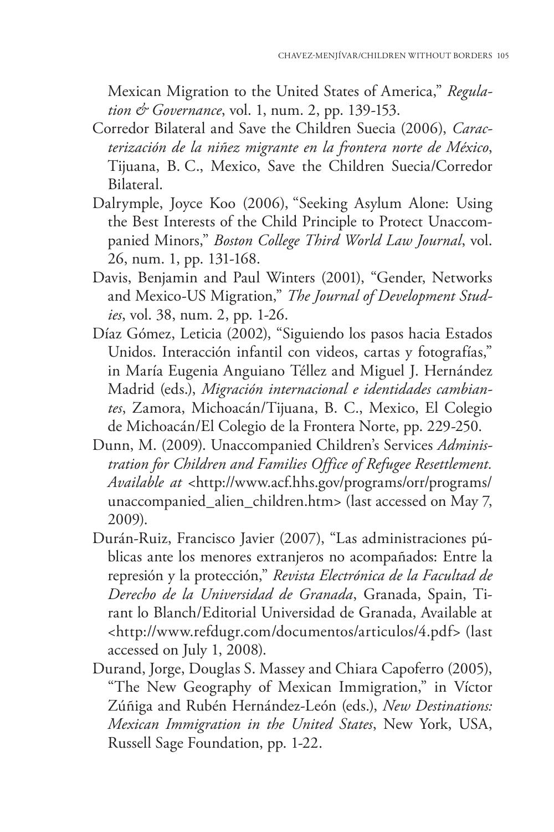Mexican Migration to the United States of America," *Regulation & Governance*, vol. 1, num. 2, pp. 139-153.

- Corredor Bilateral and Save the Children Suecia (2006), *Caracterización de la niñez migrante en la frontera norte de México*, Tijuana, B. C., Mexico, Save the Children Suecia/Corredor Bilateral.
- Dalrymple, Joyce Koo (2006), "Seeking Asylum Alone: Using the Best Interests of the Child Principle to Protect Unaccompanied Minors," *Boston College Third World Law Journal*, vol. 26, num. 1, pp. 131-168.
- Davis, Benjamin and Paul Winters (2001), "Gender, Networks and Mexico-US Migration," *The Journal of Development Studies*, vol. 38, num. 2, pp. 1-26.
- Díaz Gómez, Leticia (2002), "Siguiendo los pasos hacia Estados Unidos. Interacción infantil con videos, cartas y fotografías," in María Eugenia Anguiano Téllez and Miguel J. Hernández Madrid (eds.), *Migración internacional e identidades cambiantes*, Zamora, Michoacán/Tijuana, B. C., Mexico, El Colegio de Michoacán/El Colegio de la Frontera Norte, pp. 229-250.
- Dunn, M. (2009). Unaccompanied Children's Services *Administration for Children and Families Office of Refugee Resettlement. Available at* <http://www.acf.hhs.gov/programs/orr/programs/ unaccompanied\_alien\_children.htm> (last accessed on May 7, 2009).
- Durán-Ruiz, Francisco Javier (2007), "Las administraciones públicas ante los menores extranjeros no acompañados: Entre la represión y la protección," *Revista Electrónica de la Facultad de Derecho de la Universidad de Granada*, Granada, Spain, Tirant lo Blanch/Editorial Universidad de Granada, Available at <http://www.refdugr.com/documentos/articulos/4.pdf> (last accessed on July 1, 2008).
- Durand, Jorge, Douglas S. Massey and Chiara Capoferro (2005), "The New Geography of Mexican Immigration," in Víctor Zúñiga and Rubén Hernández-León (eds.), *New Destinations: Mexican Immigration in the United States*, New York, USA, Russell Sage Foundation, pp. 1-22.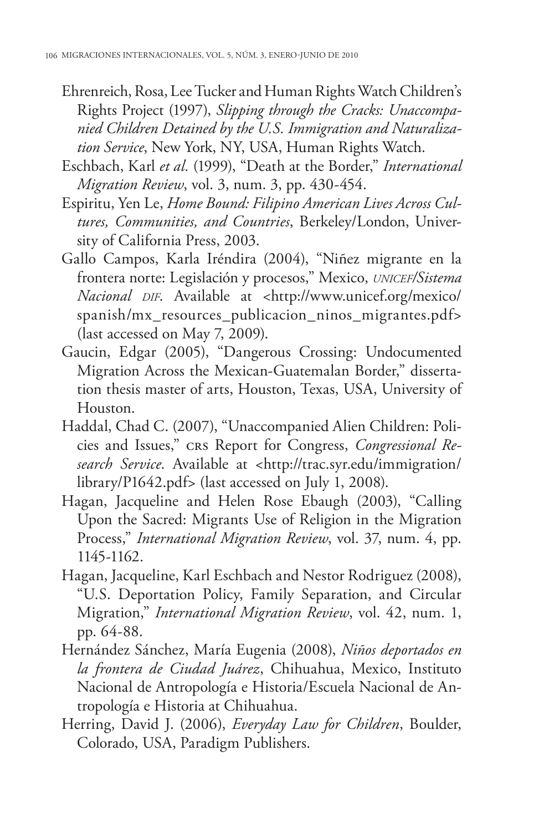- Ehrenreich, Rosa, Lee Tucker and Human Rights Watch Children's Rights Project (1997), *Slipping through the Cracks: Unaccompanied Children Detained by the U.S. Immigration and Naturalization Service*, New York, NY, USA, Human Rights Watch.
- Eschbach, Karl *et al.* (1999), "Death at the Border," *International Migration Review*, vol. 3, num. 3, pp. 430-454.
- Espiritu, Yen Le, *Home Bound: Filipino American Lives Across Cultures, Communities, and Countries*, Berkeley/London, University of California Press, 2003.
- Gallo Campos, Karla Iréndira (2004), "Niñez migrante en la frontera norte: Legislación y procesos," Mexico, *unicef/Sistema Nacional dif*. Available at <http://www.unicef.org/mexico/ spanish/mx\_resources\_publicacion\_ninos\_migrantes.pdf> (last accessed on May 7, 2009).
- Gaucin, Edgar (2005), "Dangerous Crossing: Undocumented Migration Across the Mexican-Guatemalan Border," dissertation thesis master of arts, Houston, Texas, USA, University of Houston.
- Haddal, Chad C. (2007), "Unaccompanied Alien Children: Policies and Issues," crs Report for Congress, *Congressional Research Service*. Available at <http://trac.syr.edu/immigration/ library/P1642.pdf> (last accessed on July 1, 2008).
- Hagan, Jacqueline and Helen Rose Ebaugh (2003), "Calling Upon the Sacred: Migrants Use of Religion in the Migration Process," *International Migration Review*, vol. 37, num. 4, pp. 1145-1162.
- Hagan, Jacqueline, Karl Eschbach and Nestor Rodriguez (2008), "U.S. Deportation Policy, Family Separation, and Circular Migration," *International Migration Review*, vol. 42, num. 1, pp. 64-88.
- Hernández Sánchez, María Eugenia (2008), *Niños deportados en la frontera de Ciudad Juárez*, Chihuahua, Mexico, Instituto Nacional de Antropología e Historia/Escuela Nacional de Antropología e Historia at Chihuahua.
- Herring, David J. (2006), *Everyday Law for Children*, Boulder, Colorado, USA, Paradigm Publishers.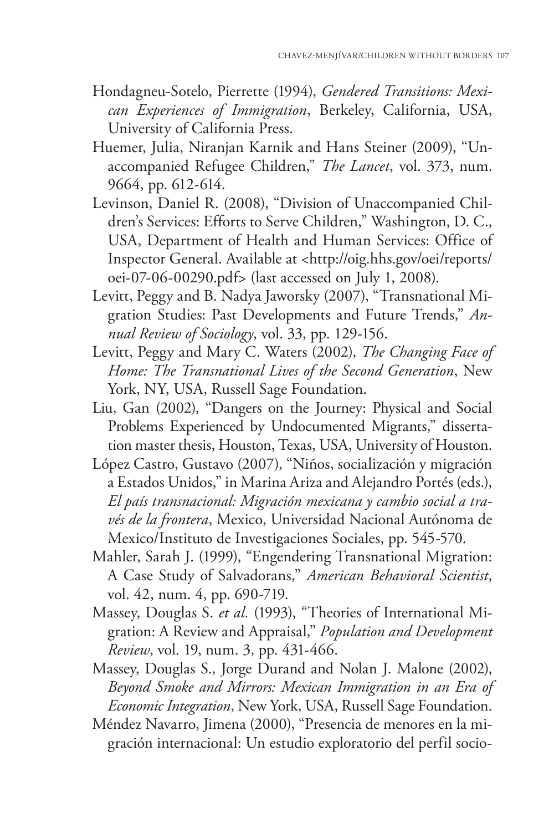- Hondagneu-Sotelo, Pierrette (1994), *Gendered Transitions: Mexican Experiences of Immigration*, Berkeley, California, USA, University of California Press.
- Huemer, Julia, Niranjan Karnik and Hans Steiner (2009), "Unaccompanied Refugee Children," *The Lancet*, vol. 373, num. 9664, pp. 612-614.
- Levinson, Daniel R. (2008), "Division of Unaccompanied Children's Services: Efforts to Serve Children," Washington, D. C., USA, Department of Health and Human Services: Office of Inspector General. Available at <http://oig.hhs.gov/oei/reports/ oei-07-06-00290.pdf> (last accessed on July 1, 2008).
- Levitt, Peggy and B. Nadya Jaworsky (2007), "Transnational Migration Studies: Past Developments and Future Trends," *Annual Review of Sociology*, vol. 33, pp. 129-156.
- Levitt, Peggy and Mary C. Waters (2002), *The Changing Face of Home: The Transnational Lives of the Second Generation*, New York, NY, USA, Russell Sage Foundation.
- Liu, Gan (2002), "Dangers on the Journey: Physical and Social Problems Experienced by Undocumented Migrants," dissertation master thesis, Houston, Texas, USA, University of Houston.
- López Castro, Gustavo (2007), "Niños, socialización y migración a Estados Unidos," in Marina Ariza and Alejandro Portés (eds.), *El país transnacional: Migración mexicana y cambio social a través de la frontera*, Mexico, Universidad Nacional Autónoma de Mexico/Instituto de Investigaciones Sociales, pp. 545-570.
- Mahler, Sarah J. (1999), "Engendering Transnational Migration: A Case Study of Salvadorans," *American Behavioral Scientist*, vol. 42, num. 4, pp. 690-719.
- Massey, Douglas S. *et al.* (1993), "Theories of International Migration: A Review and Appraisal," *Population and Development Review*, vol. 19, num. 3, pp. 431-466.
- Massey, Douglas S., Jorge Durand and Nolan J. Malone (2002), *Beyond Smoke and Mirrors: Mexican Immigration in an Era of Economic Integration*, New York, USA, Russell Sage Foundation.
- Méndez Navarro, Jimena (2000), "Presencia de menores en la migración internacional: Un estudio exploratorio del perfil socio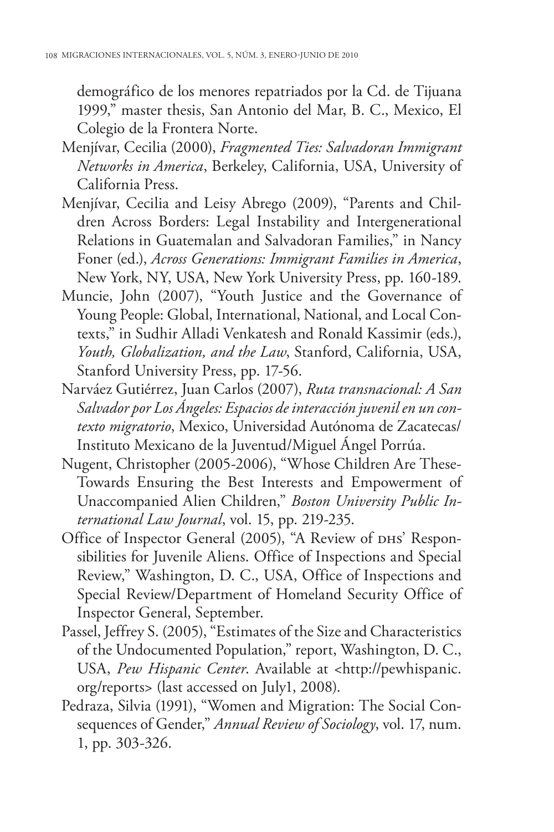demográfico de los menores repatriados por la Cd. de Tijuana 1999," master thesis, San Antonio del Mar, B. C., Mexico, El Colegio de la Frontera Norte.

- Menjívar, Cecilia (2000), *Fragmented Ties: Salvadoran Immigrant Networks in America*, Berkeley, California, USA, University of California Press.
- Menjívar, Cecilia and Leisy Abrego (2009), "Parents and Children Across Borders: Legal Instability and Intergenerational Relations in Guatemalan and Salvadoran Families," in Nancy Foner (ed.), *Across Generations: Immigrant Families in America*, New York, NY, USA, New York University Press, pp. 160-189.
- Muncie, John (2007), "Youth Justice and the Governance of Young People: Global, International, National, and Local Contexts," in Sudhir Alladi Venkatesh and Ronald Kassimir (eds.), *Youth, Globalization, and the Law*, Stanford, California, USA, Stanford University Press, pp. 17-56.
- Narváez Gutiérrez, Juan Carlos (2007), *Ruta transnacional: A San Salvador por Los Ángeles: Espacios de interacción juvenil en un contexto migratorio*, Mexico, Universidad Autónoma de Zacatecas/ Instituto Mexicano de la Juventud/Miguel Ángel Porrúa.
- Nugent, Christopher (2005-2006), "Whose Children Are These-Towards Ensuring the Best Interests and Empowerment of Unaccompanied Alien Children," *Boston University Public International Law Journal*, vol. 15, pp. 219-235.
- Office of Inspector General (2005), "A Review of DHS' Responsibilities for Juvenile Aliens. Office of Inspections and Special Review," Washington, D. C., USA, Office of Inspections and Special Review/Department of Homeland Security Office of Inspector General, September.
- Passel, Jeffrey S. (2005), "Estimates of the Size and Characteristics of the Undocumented Population," report, Washington, D. C., USA, *Pew Hispanic Center*. Available at <http://pewhispanic. org/reports> (last accessed on July1, 2008).
- Pedraza, Silvia (1991), "Women and Migration: The Social Consequences of Gender," *Annual Review of Sociology*, vol. 17, num. 1, pp. 303-326.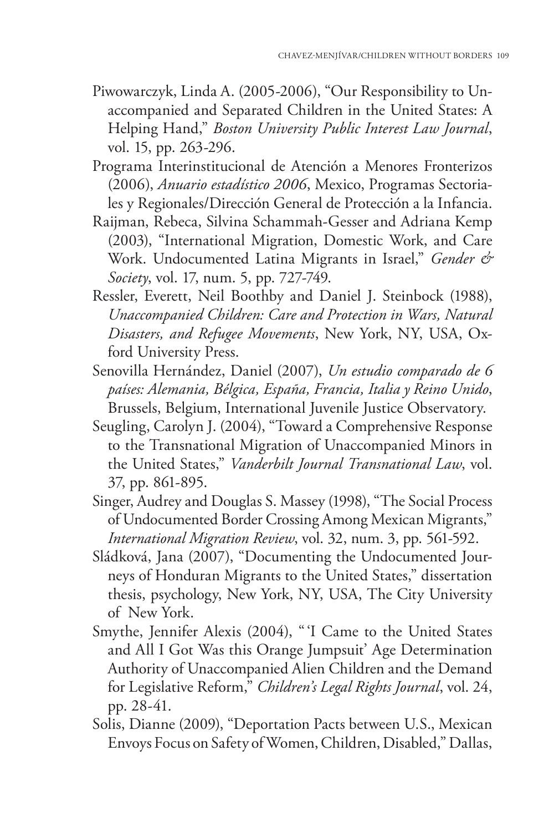- Piwowarczyk, Linda A. (2005-2006), "Our Responsibility to Unaccompanied and Separated Children in the United States: A Helping Hand," *Boston University Public Interest Law Journal*, vol. 15, pp. 263-296.
- Programa Interinstitucional de Atención a Menores Fronterizos (2006), *Anuario estadístico 2006*, Mexico, Programas Sectoriales y Regionales/Dirección General de Protección a la Infancia.
- Raijman, Rebeca, Silvina Schammah-Gesser and Adriana Kemp (2003), "International Migration, Domestic Work, and Care Work. Undocumented Latina Migrants in Israel," *Gender & Society*, vol. 17, num. 5, pp. 727-749.
- Ressler, Everett, Neil Boothby and Daniel J. Steinbock (1988), *Unaccompanied Children: Care and Protection in Wars, Natural Disasters, and Refugee Movements*, New York, NY, USA, Oxford University Press.
- Senovilla Hernández, Daniel (2007), *Un estudio comparado de 6 países: Alemania, Bélgica, España, Francia, Italia y Reino Unido*, Brussels, Belgium, International Juvenile Justice Observatory.
- Seugling, Carolyn J. (2004), "Toward a Comprehensive Response to the Transnational Migration of Unaccompanied Minors in the United States," *Vanderbilt Journal Transnational Law*, vol. 37, pp. 861-895.
- Singer, Audrey and Douglas S. Massey (1998), "The Social Process of Undocumented Border Crossing Among Mexican Migrants," *International Migration Review*, vol. 32, num. 3, pp. 561-592.
- Sládková, Jana (2007), "Documenting the Undocumented Journeys of Honduran Migrants to the United States," dissertation thesis, psychology, New York, NY, USA, The City University of New York.
- Smythe, Jennifer Alexis (2004), " 'I Came to the United States and All I Got Was this Orange Jumpsuit' Age Determination Authority of Unaccompanied Alien Children and the Demand for Legislative Reform," *Children's Legal Rights Journal*, vol. 24, pp. 28-41.
- Solis, Dianne (2009), "Deportation Pacts between U.S., Mexican Envoys Focus on Safety of Women, Children, Disabled," Dallas,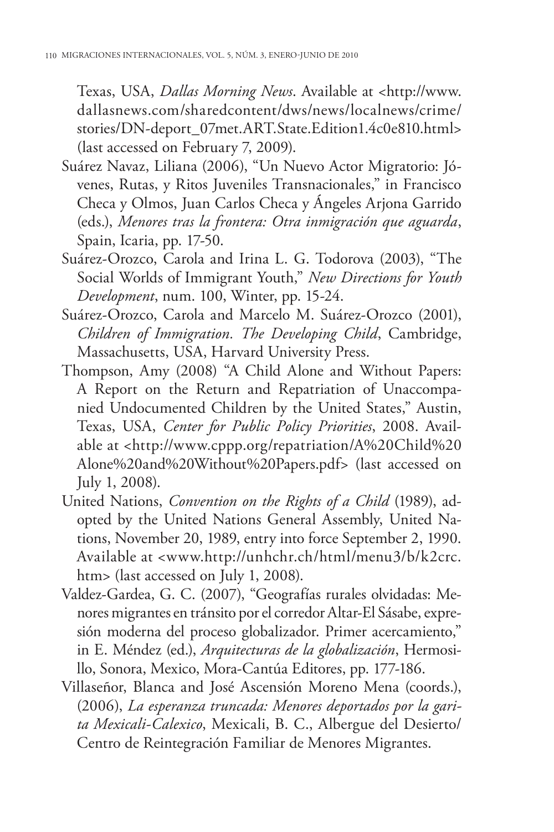Texas, USA, *Dallas Morning News*. Available at <http://www. dallasnews.com/sharedcontent/dws/news/localnews/crime/ stories/DN-deport\_07met.ART.State.Edition1.4c0e810.html> (last accessed on February 7, 2009).

- Suárez Navaz, Liliana (2006), "Un Nuevo Actor Migratorio: Jóvenes, Rutas, y Ritos Juveniles Transnacionales," in Francisco Checa y Olmos, Juan Carlos Checa y Ángeles Arjona Garrido (eds.), *Menores tras la frontera: Otra inmigración que aguarda*, Spain, Icaria, pp. 17-50.
- Suárez-Orozco, Carola and Irina L. G. Todorova (2003), "The Social Worlds of Immigrant Youth," *New Directions for Youth Development*, num. 100, Winter, pp. 15-24.
- Suárez-Orozco, Carola and Marcelo M. Suárez-Orozco (2001), *Children of Immigration. The Developing Child*, Cambridge, Massachusetts, USA, Harvard University Press.
- Thompson, Amy (2008) "A Child Alone and Without Papers: A Report on the Return and Repatriation of Unaccompanied Undocumented Children by the United States," Austin, Texas, USA, *Center for Public Policy Priorities*, 2008. Available at <http://www.cppp.org/repatriation/A%20Child%20 Alone%20and%20Without%20Papers.pdf> (last accessed on July 1, 2008).
- United Nations, *Convention on the Rights of a Child* (1989), adopted by the United Nations General Assembly, United Nations, November 20, 1989, entry into force September 2, 1990. Available at <www.http://unhchr.ch/html/menu3/b/k2crc. htm> (last accessed on July 1, 2008).
- Valdez-Gardea, G. C. (2007), "Geografías rurales olvidadas: Menores migrantes en tránsito por el corredor Altar-El Sásabe, expresión moderna del proceso globalizador. Primer acercamiento," in E. Méndez (ed.), *Arquitecturas de la globalización*, Hermosillo, Sonora, Mexico, Mora-Cantúa Editores, pp. 177-186.
- Villaseñor, Blanca and José Ascensión Moreno Mena (coords.), (2006), *La esperanza truncada: Menores deportados por la garita Mexicali-Calexico*, Mexicali, B. C., Albergue del Desierto/ Centro de Reintegración Familiar de Menores Migrantes.